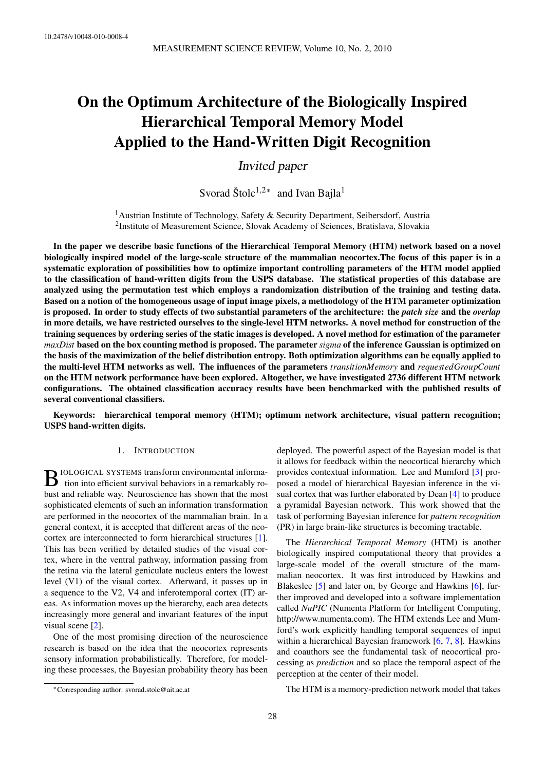# On the Optimum Architecture of the Biologically Inspired Hierarchical Temporal Memory Model Applied to the Hand-Written Digit Recognition

Invited paper

Svorad Štolc<sup>1,2</sup>\* and Ivan Bajla<sup>1</sup>

<sup>1</sup> Austrian Institute of Technology, Safety & Security Department, Seibersdorf, Austria <sup>2</sup>Institute of Measurement Science, Slovak Academy of Sciences, Bratislava, Slovakia

In the paper we describe basic functions of the Hierarchical Temporal Memory (HTM) network based on a novel biologically inspired model of the large-scale structure of the mammalian neocortex.The focus of this paper is in a systematic exploration of possibilities how to optimize important controlling parameters of the HTM model applied to the classification of hand-written digits from the USPS database. The statistical properties of this database are analyzed using the permutation test which employs a randomization distribution of the training and testing data. Based on a notion of the homogeneous usage of input image pixels, a methodology of the HTM parameter optimization is proposed. In order to study effects of two substantial parameters of the architecture: the *patch size* and the *overlap* in more details*,* we have restricted ourselves to the single-level HTM networks. A novel method for construction of the training sequences by ordering series of the static images is developed. A novel method for estimation of the parameter *maxDist* based on the box counting method is proposed. The parameter *sigma* of the inference Gaussian is optimized on the basis of the maximization of the belief distribution entropy. Both optimization algorithms can be equally applied to the multi-level HTM networks as well. The influences of the parameters *transitionMemory* and *requestedGroupCount* on the HTM network performance have been explored. Altogether, we have investigated 2736 different HTM network configurations. The obtained classification accuracy results have been benchmarked with the published results of several conventional classifiers.

Keywords: hierarchical temporal memory (HTM); optimum network architecture, visual pattern recognition; USPS hand-written digits.

## 1. INTRODUCTION

B IOLOGICAL SYSTEMS transform environmental informa-<br>tion into efficient survival behaviors in a remarkably ro-IOLOGICAL SYSTEMS transform environmental informabust and reliable way. Neuroscience has shown that the most sophisticated elements of such an information transformation are performed in the neocortex of the mammalian brain. In a general context, it is accepted that different areas of the neocortex are interconnected to form hierarchical structures [\[1\]](#page-20-0). This has been verified by detailed studies of the visual cortex, where in the ventral pathway, information passing from the retina via the lateral geniculate nucleus enters the lowest level (V1) of the visual cortex. Afterward, it passes up in a sequence to the V2, V4 and inferotemporal cortex (IT) areas. As information moves up the hierarchy, each area detects increasingly more general and invariant features of the input visual scene [\[2\]](#page-20-1).

One of the most promising direction of the neuroscience research is based on the idea that the neocortex represents sensory information probabilistically. Therefore, for modeling these processes, the Bayesian probability theory has been

<sup>∗</sup>Corresponding author: [svorad.stolc@ait.ac.at](mailto:svorad.stolc@ait.ac.at)

deployed. The powerful aspect of the Bayesian model is that it allows for feedback within the neocortical hierarchy which provides contextual information. Lee and Mumford [\[3\]](#page-20-2) proposed a model of hierarchical Bayesian inference in the visual cortex that was further elaborated by Dean [\[4\]](#page-20-3) to produce a pyramidal Bayesian network. This work showed that the task of performing Bayesian inference for *pattern recognition* (PR) in large brain-like structures is becoming tractable.

The *Hierarchical Temporal Memory* (HTM) is another biologically inspired computational theory that provides a large-scale model of the overall structure of the mammalian neocortex. It was first introduced by Hawkins and Blakeslee [\[5\]](#page-20-4) and later on, by George and Hawkins [\[6\]](#page-20-5), further improved and developed into a software implementation called *NuPIC* (Numenta Platform for Intelligent Computing, [http://www.numenta.com\)](http://www.numenta.com). The HTM extends Lee and Mumford's work explicitly handling temporal sequences of input within a hierarchical Bayesian framework [\[6,](#page-20-5) [7,](#page-20-6) [8\]](#page-20-7). Hawkins and coauthors see the fundamental task of neocortical processing as *prediction* and so place the temporal aspect of the perception at the center of their model.

The HTM is a memory-prediction network model that takes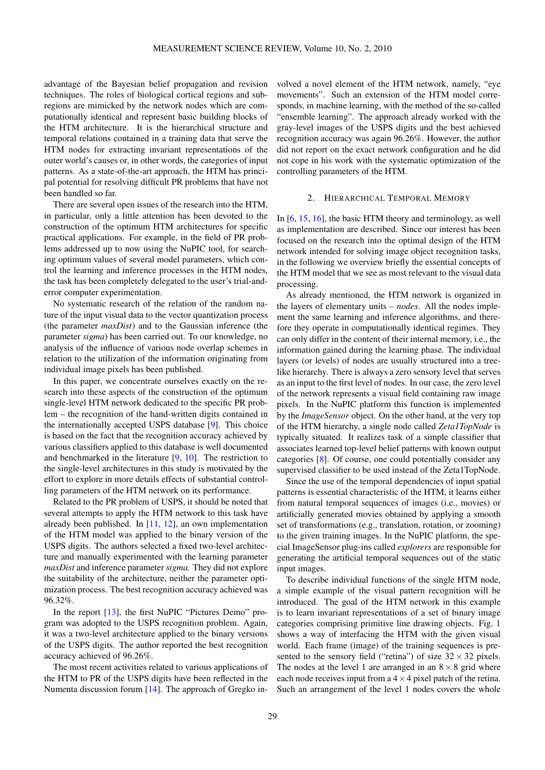advantage of the Bayesian belief propagation and revision techniques. The roles of biological cortical regions and subregions are mimicked by the network nodes which are computationally identical and represent basic building blocks of the HTM architecture. It is the hierarchical structure and temporal relations contained in a training data that serve the HTM nodes for extracting invariant representations of the outer world's causes or, in other words, the categories of input patterns. As a state-of-the-art approach, the HTM has principal potential for resolving difficult PR problems that have not been handled so far.

There are several open issues of the research into the HTM, in particular, only a little attention has been devoted to the construction of the optimum HTM architectures for specific practical applications. For example, in the field of PR problems addressed up to now using the NuPIC tool, for searching optimum values of several model parameters, which control the learning and inference processes in the HTM nodes, the task has been completely delegated to the user's trial-anderror computer experimentation.

No systematic research of the relation of the random nature of the input visual data to the vector quantization process (the parameter *maxDist*) and to the Gaussian inference (the parameter *sigma*) has been carried out. To our knowledge, no analysis of the influence of various node overlap schemes in relation to the utilization of the information originating from individual image pixels has been published.

In this paper, we concentrate ourselves exactly on the research into these aspects of the construction of the optimum single-level HTM network dedicated to the specific PR problem – the recognition of the hand-written digits contained in the internationally accepted USPS database [\[9\]](#page-20-8). This choice is based on the fact that the recognition accuracy achieved by various classifiers applied to this database is well documented and benchmarked in the literature [\[9,](#page-20-8) [10\]](#page-20-9). The restriction to the single-level architectures in this study is motivated by the effort to explore in more details effects of substantial controlling parameters of the HTM network on its performance.

Related to the PR problem of USPS, it should be noted that several attempts to apply the HTM network to this task have already been published. In [\[11,](#page-20-10) [12\]](#page-20-11), an own implementation of the HTM model was applied to the binary version of the USPS digits. The authors selected a fixed two-level architecture and manually experimented with the learning parameter *maxDist* and inference parameter *sigma.* They did not explore the suitability of the architecture, neither the parameter optimization process. The best recognition accuracy achieved was 96.32%.

In the report [\[13\]](#page-20-12), the first NuPIC "Pictures Demo" program was adopted to the USPS recognition problem. Again, it was a two-level architecture applied to the binary versions of the USPS digits. The author reported the best recognition accuracy achieved of 96.26%.

The most recent activities related to various applications of the HTM to PR of the USPS digits have been reflected in the Numenta discussion forum [\[14\]](#page-20-13). The approach of Gregko involved a novel element of the HTM network, namely, "eye movements". Such an extension of the HTM model corresponds, in machine learning, with the method of the so-called "ensemble learning". The approach already worked with the gray-level images of the USPS digits and the best achieved recognition accuracy was again 96.26%. However, the author did not report on the exact network configuration and he did not cope in his work with the systematic optimization of the controlling parameters of the HTM.

## 2. HIERARCHICAL TEMPORAL MEMORY

<span id="page-1-0"></span>In [\[6,](#page-20-5) [15,](#page-20-14) [16\]](#page-20-15), the basic HTM theory and terminology, as well as implementation are described. Since our interest has been focused on the research into the optimal design of the HTM network intended for solving image object recognition tasks, in the following we overview briefly the essential concepts of the HTM model that we see as most relevant to the visual data processing.

As already mentioned, the HTM network is organized in the layers of elementary units – *nodes*. All the nodes implement the same learning and inference algorithms, and therefore they operate in computationally identical regimes. They can only differ in the content of their internal memory, i.e., the information gained during the learning phase. The individual layers (or levels) of nodes are usually structured into a treelike hierarchy. There is always a zero sensory level that serves as an input to the first level of nodes. In our case, the zero level of the network represents a visual field containing raw image pixels. In the NuPIC platform this function is implemented by the *ImageSensor* object. On the other hand, at the very top of the HTM hierarchy, a single node called *Zeta1TopNode* is typically situated. It realizes task of a simple classifier that associates learned top-level belief patterns with known output categories [\[8\]](#page-20-7). Of course, one could potentially consider any supervised classifier to be used instead of the Zeta1TopNode.

Since the use of the temporal dependencies of input spatial patterns is essential characteristic of the HTM, it learns either from natural temporal sequences of images (i.e., movies) or artificially generated movies obtained by applying a smooth set of transformations (e.g., translation, rotation, or zooming) to the given training images. In the NuPIC platform, the special ImageSensor plug-ins called *explorers* are responsible for generating the artificial temporal sequences out of the static input images.

To describe individual functions of the single HTM node, a simple example of the visual pattern recognition will be introduced. The goal of the HTM network in this example is to learn invariant representations of a set of binary image categories comprising primitive line drawing objects. Fig. [1](#page-2-0) shows a way of interfacing the HTM with the given visual world. Each frame (image) of the training sequences is presented to the sensory field ("retina") of size  $32 \times 32$  pixels. The nodes at the level 1 are arranged in an  $8 \times 8$  grid where each node receives input from a  $4 \times 4$  pixel patch of the retina. Such an arrangement of the level 1 nodes covers the whole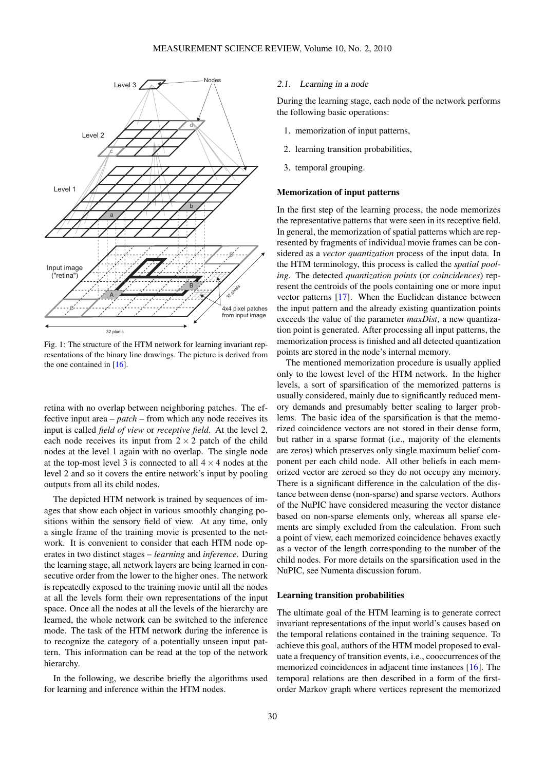<span id="page-2-0"></span>

Fig. 1: The structure of the HTM network for learning invariant representations of the binary line drawings. The picture is derived from the one contained in [\[16\]](#page-20-15).

retina with no overlap between neighboring patches. The effective input area – *patch* – from which any node receives its input is called *field of view* or *receptive field*. At the level 2, each node receives its input from  $2 \times 2$  patch of the child nodes at the level 1 again with no overlap. The single node at the top-most level 3 is connected to all  $4 \times 4$  nodes at the level 2 and so it covers the entire network's input by pooling outputs from all its child nodes.

The depicted HTM network is trained by sequences of images that show each object in various smoothly changing positions within the sensory field of view. At any time, only a single frame of the training movie is presented to the network. It is convenient to consider that each HTM node operates in two distinct stages – *learning* and *inference*. During the learning stage, all network layers are being learned in consecutive order from the lower to the higher ones. The network is repeatedly exposed to the training movie until all the nodes at all the levels form their own representations of the input space. Once all the nodes at all the levels of the hierarchy are learned, the whole network can be switched to the inference mode. The task of the HTM network during the inference is to recognize the category of a potentially unseen input pattern. This information can be read at the top of the network hierarchy.

In the following, we describe briefly the algorithms used for learning and inference within the HTM nodes.

## <span id="page-2-1"></span>2.1. Learning in a node

During the learning stage, each node of the network performs the following basic operations:

- 1. memorization of input patterns,
- 2. learning transition probabilities,
- 3. temporal grouping.

# Memorization of input patterns

In the first step of the learning process, the node memorizes the representative patterns that were seen in its receptive field. In general, the memorization of spatial patterns which are represented by fragments of individual movie frames can be considered as a *vector quantization* process of the input data. In the HTM terminology, this process is called the *spatial pooling*. The detected *quantization points* (or *coincidences*) represent the centroids of the pools containing one or more input vector patterns [\[17\]](#page-20-16). When the Euclidean distance between the input pattern and the already existing quantization points exceeds the value of the parameter *maxDist,* a new quantization point is generated. After processing all input patterns, the memorization process is finished and all detected quantization points are stored in the node's internal memory.

The mentioned memorization procedure is usually applied only to the lowest level of the HTM network. In the higher levels, a sort of sparsification of the memorized patterns is usually considered, mainly due to significantly reduced memory demands and presumably better scaling to larger problems. The basic idea of the sparsification is that the memorized coincidence vectors are not stored in their dense form, but rather in a sparse format (i.e., majority of the elements are zeros) which preserves only single maximum belief component per each child node. All other beliefs in each memorized vector are zeroed so they do not occupy any memory. There is a significant difference in the calculation of the distance between dense (non-sparse) and sparse vectors. Authors of the NuPIC have considered measuring the vector distance based on non-sparse elements only, whereas all sparse elements are simply excluded from the calculation. From such a point of view, each memorized coincidence behaves exactly as a vector of the length corresponding to the number of the child nodes. For more details on the sparsification used in the NuPIC, see Numenta discussion forum.

## Learning transition probabilities

The ultimate goal of the HTM learning is to generate correct invariant representations of the input world's causes based on the temporal relations contained in the training sequence. To achieve this goal, authors of the HTM model proposed to evaluate a frequency of transition events, i.e., cooccurrences of the memorized coincidences in adjacent time instances [\[16\]](#page-20-15). The temporal relations are then described in a form of the firstorder Markov graph where vertices represent the memorized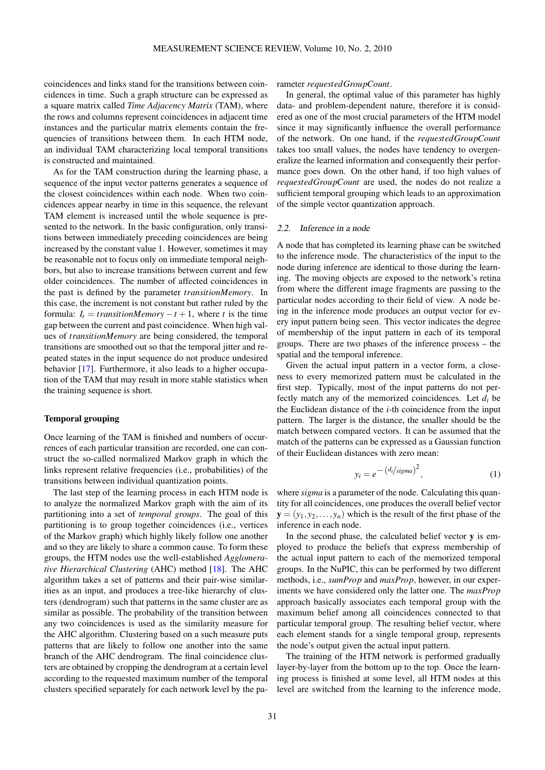coincidences and links stand for the transitions between coincidences in time. Such a graph structure can be expressed as a square matrix called *Time Adjacency Matrix* (TAM), where the rows and columns represent coincidences in adjacent time instances and the particular matrix elements contain the frequencies of transitions between them. In each HTM node, an individual TAM characterizing local temporal transitions is constructed and maintained.

As for the TAM construction during the learning phase, a sequence of the input vector patterns generates a sequence of the closest coincidences within each node. When two coincidences appear nearby in time in this sequence, the relevant TAM element is increased until the whole sequence is presented to the network. In the basic configuration, only transitions between immediately preceding coincidences are being increased by the constant value 1. However, sometimes it may be reasonable not to focus only on immediate temporal neighbors, but also to increase transitions between current and few older coincidences. The number of affected coincidences in the past is defined by the parameter *transitionMemory*. In this case, the increment is not constant but rather ruled by the formula:  $I_t = transitionMemory - t + 1$ , where *t* is the time gap between the current and past coincidence. When high values of *transitionMemory* are being considered, the temporal transitions are smoothed out so that the temporal jitter and repeated states in the input sequence do not produce undesired behavior [\[17\]](#page-20-16). Furthermore, it also leads to a higher occupation of the TAM that may result in more stable statistics when the training sequence is short.

# Temporal grouping

Once learning of the TAM is finished and numbers of occurrences of each particular transition are recorded, one can construct the so-called normalized Markov graph in which the links represent relative frequencies (i.e., probabilities) of the transitions between individual quantization points.

The last step of the learning process in each HTM node is to analyze the normalized Markov graph with the aim of its partitioning into a set of *temporal groups*. The goal of this partitioning is to group together coincidences (i.e., vertices of the Markov graph) which highly likely follow one another and so they are likely to share a common cause. To form these groups, the HTM nodes use the well-established *Agglomerative Hierarchical Clustering* (AHC) method [\[18\]](#page-20-17). The AHC algorithm takes a set of patterns and their pair-wise similarities as an input, and produces a tree-like hierarchy of clusters (dendrogram) such that patterns in the same cluster are as similar as possible. The probability of the transition between any two coincidences is used as the similarity measure for the AHC algorithm. Clustering based on a such measure puts patterns that are likely to follow one another into the same branch of the AHC dendrogram. The final coincidence clusters are obtained by cropping the dendrogram at a certain level according to the requested maximum number of the temporal clusters specified separately for each network level by the pa-

#### rameter *requestedGroupCount*.

In general, the optimal value of this parameter has highly data- and problem-dependent nature, therefore it is considered as one of the most crucial parameters of the HTM model since it may significantly influence the overall performance of the network. On one hand, if the *requestedGroupCount* takes too small values, the nodes have tendency to overgeneralize the learned information and consequently their performance goes down. On the other hand, if too high values of *requestedGroupCount* are used, the nodes do not realize a sufficient temporal grouping which leads to an approximation of the simple vector quantization approach.

## 2.2. Inference in a node

A node that has completed its learning phase can be switched to the inference mode. The characteristics of the input to the node during inference are identical to those during the learning. The moving objects are exposed to the network's retina from where the different image fragments are passing to the particular nodes according to their field of view. A node being in the inference mode produces an output vector for every input pattern being seen. This vector indicates the degree of membership of the input pattern in each of its temporal groups. There are two phases of the inference process – the spatial and the temporal inference.

Given the actual input pattern in a vector form, a closeness to every memorized pattern must be calculated in the first step. Typically, most of the input patterns do not perfectly match any of the memorized coincidences. Let *d<sup>i</sup>* be the Euclidean distance of the *i*-th coincidence from the input pattern. The larger is the distance, the smaller should be the match between compared vectors. It can be assumed that the match of the patterns can be expressed as a Gaussian function of their Euclidean distances with zero mean:

<span id="page-3-0"></span>
$$
y_i = e^{-\left(d_i\middle/sigma\right)^2},\tag{1}
$$

where *sigma* is a parameter of the node. Calculating this quantity for all coincidences, one produces the overall belief vector  $y = (y_1, y_2, \dots, y_n)$  which is the result of the first phase of the inference in each node.

In the second phase, the calculated belief vector  $\bf{v}$  is employed to produce the beliefs that express membership of the actual input pattern to each of the memorized temporal groups. In the NuPIC, this can be performed by two different methods, i.e., *sumProp* and *maxProp*, however, in our experiments we have considered only the latter one. The *maxProp* approach basically associates each temporal group with the maximum belief among all coincidences connected to that particular temporal group. The resulting belief vector, where each element stands for a single temporal group, represents the node's output given the actual input pattern.

The training of the HTM network is performed gradually layer-by-layer from the bottom up to the top. Once the learning process is finished at some level, all HTM nodes at this level are switched from the learning to the inference mode,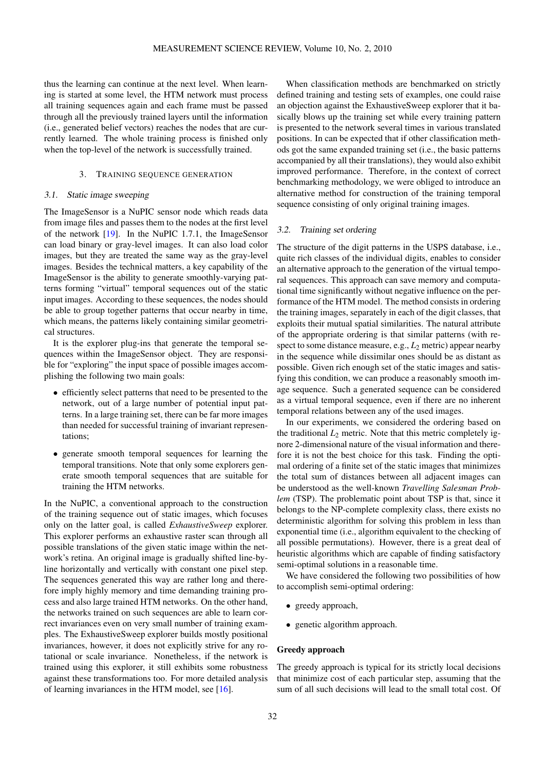thus the learning can continue at the next level. When learning is started at some level, the HTM network must process all training sequences again and each frame must be passed through all the previously trained layers until the information (i.e., generated belief vectors) reaches the nodes that are currently learned. The whole training process is finished only when the top-level of the network is successfully trained.

#### 3. TRAINING SEQUENCE GENERATION

## <span id="page-4-0"></span>3.1. Static image sweeping

The ImageSensor is a NuPIC sensor node which reads data from image files and passes them to the nodes at the first level of the network [\[19\]](#page-20-18). In the NuPIC 1.7.1, the ImageSensor can load binary or gray-level images. It can also load color images, but they are treated the same way as the gray-level images. Besides the technical matters, a key capability of the ImageSensor is the ability to generate smoothly-varying patterns forming "virtual" temporal sequences out of the static input images. According to these sequences, the nodes should be able to group together patterns that occur nearby in time, which means, the patterns likely containing similar geometrical structures.

It is the explorer plug-ins that generate the temporal sequences within the ImageSensor object. They are responsible for "exploring" the input space of possible images accomplishing the following two main goals:

- efficiently select patterns that need to be presented to the network, out of a large number of potential input patterns. In a large training set, there can be far more images than needed for successful training of invariant representations;
- generate smooth temporal sequences for learning the temporal transitions. Note that only some explorers generate smooth temporal sequences that are suitable for training the HTM networks.

In the NuPIC, a conventional approach to the construction of the training sequence out of static images, which focuses only on the latter goal, is called *ExhaustiveSweep* explorer. This explorer performs an exhaustive raster scan through all possible translations of the given static image within the network's retina. An original image is gradually shifted line-byline horizontally and vertically with constant one pixel step. The sequences generated this way are rather long and therefore imply highly memory and time demanding training process and also large trained HTM networks. On the other hand, the networks trained on such sequences are able to learn correct invariances even on very small number of training examples. The ExhaustiveSweep explorer builds mostly positional invariances, however, it does not explicitly strive for any rotational or scale invariance. Nonetheless, if the network is trained using this explorer, it still exhibits some robustness against these transformations too. For more detailed analysis of learning invariances in the HTM model, see [\[16\]](#page-20-15).

When classification methods are benchmarked on strictly defined training and testing sets of examples, one could raise an objection against the ExhaustiveSweep explorer that it basically blows up the training set while every training pattern is presented to the network several times in various translated positions. In can be expected that if other classification methods got the same expanded training set (i.e., the basic patterns accompanied by all their translations), they would also exhibit improved performance. Therefore, in the context of correct benchmarking methodology, we were obliged to introduce an alternative method for construction of the training temporal sequence consisting of only original training images.

# 3.2. Training set ordering

The structure of the digit patterns in the USPS database, i.e., quite rich classes of the individual digits, enables to consider an alternative approach to the generation of the virtual temporal sequences. This approach can save memory and computational time significantly without negative influence on the performance of the HTM model. The method consists in ordering the training images, separately in each of the digit classes, that exploits their mutual spatial similarities. The natural attribute of the appropriate ordering is that similar patterns (with respect to some distance measure, e.g.,  $L_2$  metric) appear nearby in the sequence while dissimilar ones should be as distant as possible. Given rich enough set of the static images and satisfying this condition, we can produce a reasonably smooth image sequence. Such a generated sequence can be considered as a virtual temporal sequence, even if there are no inherent temporal relations between any of the used images.

In our experiments, we considered the ordering based on the traditional  $L_2$  metric. Note that this metric completely ignore 2-dimensional nature of the visual information and therefore it is not the best choice for this task. Finding the optimal ordering of a finite set of the static images that minimizes the total sum of distances between all adjacent images can be understood as the well-known *Travelling Salesman Problem* (TSP). The problematic point about TSP is that, since it belongs to the NP-complete complexity class, there exists no deterministic algorithm for solving this problem in less than exponential time (i.e., algorithm equivalent to the checking of all possible permutations). However, there is a great deal of heuristic algorithms which are capable of finding satisfactory semi-optimal solutions in a reasonable time.

We have considered the following two possibilities of how to accomplish semi-optimal ordering:

- greedy approach,
- genetic algorithm approach.

#### Greedy approach

The greedy approach is typical for its strictly local decisions that minimize cost of each particular step, assuming that the sum of all such decisions will lead to the small total cost. Of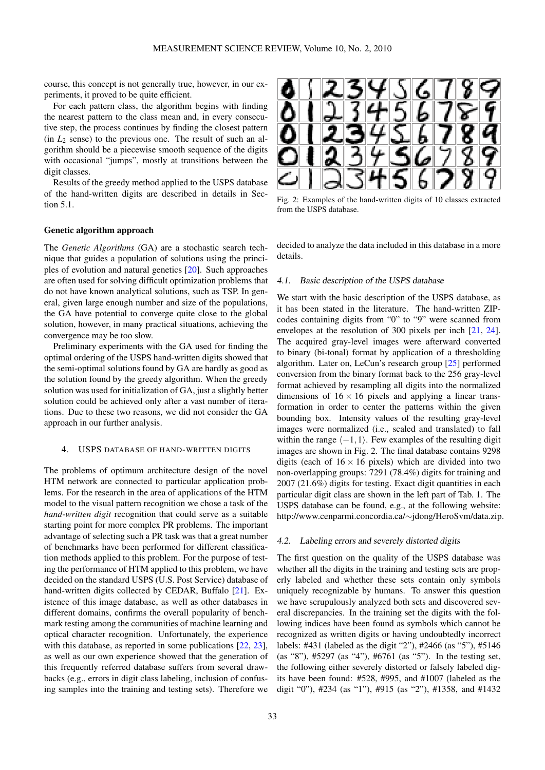course, this concept is not generally true, however, in our experiments, it proved to be quite efficient.

For each pattern class, the algorithm begins with finding the nearest pattern to the class mean and, in every consecutive step, the process continues by finding the closest pattern  $(in L<sub>2</sub> sense)$  to the previous one. The result of such an algorithm should be a piecewise smooth sequence of the digits with occasional "jumps", mostly at transitions between the digit classes.

Results of the greedy method applied to the USPS database of the hand-written digits are described in details in Section [5.1.](#page-7-0)

#### Genetic algorithm approach

The *Genetic Algorithms* (GA) are a stochastic search technique that guides a population of solutions using the principles of evolution and natural genetics [\[20\]](#page-20-19). Such approaches are often used for solving difficult optimization problems that do not have known analytical solutions, such as TSP. In general, given large enough number and size of the populations, the GA have potential to converge quite close to the global solution, however, in many practical situations, achieving the convergence may be too slow.

Preliminary experiments with the GA used for finding the optimal ordering of the USPS hand-written digits showed that the semi-optimal solutions found by GA are hardly as good as the solution found by the greedy algorithm. When the greedy solution was used for initialization of GA, just a slightly better solution could be achieved only after a vast number of iterations. Due to these two reasons, we did not consider the GA approach in our further analysis.

### 4. USPS DATABASE OF HAND-WRITTEN DIGITS

The problems of optimum architecture design of the novel HTM network are connected to particular application problems. For the research in the area of applications of the HTM model to the visual pattern recognition we chose a task of the *hand-written digit* recognition that could serve as a suitable starting point for more complex PR problems. The important advantage of selecting such a PR task was that a great number of benchmarks have been performed for different classification methods applied to this problem. For the purpose of testing the performance of HTM applied to this problem, we have decided on the standard USPS (U.S. Post Service) database of hand-written digits collected by CEDAR, Buffalo [\[21\]](#page-20-20). Existence of this image database, as well as other databases in different domains, confirms the overall popularity of benchmark testing among the communities of machine learning and optical character recognition. Unfortunately, the experience with this database, as reported in some publications [\[22,](#page-20-21) [23\]](#page-20-22), as well as our own experience showed that the generation of this frequently referred database suffers from several drawbacks (e.g., errors in digit class labeling, inclusion of confusing samples into the training and testing sets). Therefore we

<span id="page-5-0"></span>

Fig. 2: Examples of the hand-written digits of 10 classes extracted from the USPS database.

decided to analyze the data included in this database in a more details.

#### 4.1. Basic description of the USPS database

We start with the basic description of the USPS database, as it has been stated in the literature. The hand-written ZIPcodes containing digits from "0" to "9" were scanned from envelopes at the resolution of 300 pixels per inch [\[21,](#page-20-20) [24\]](#page-20-23). The acquired gray-level images were afterward converted to binary (bi-tonal) format by application of a thresholding algorithm. Later on, LeCun's research group [\[25\]](#page-21-0) performed conversion from the binary format back to the 256 gray-level format achieved by resampling all digits into the normalized dimensions of  $16 \times 16$  pixels and applying a linear transformation in order to center the patterns within the given bounding box. Intensity values of the resulting gray-level images were normalized (i.e., scaled and translated) to fall within the range  $\langle -1,1 \rangle$ . Few examples of the resulting digit images are shown in Fig. [2.](#page-5-0) The final database contains 9298 digits (each of  $16 \times 16$  pixels) which are divided into two non-overlapping groups: 7291 (78.4%) digits for training and 2007 (21.6%) digits for testing. Exact digit quantities in each particular digit class are shown in the left part of Tab. [1.](#page-6-0) The USPS database can be found, e.g., at the following website: [http://www.cenparmi.concordia.ca/](http://www.cenparmi.concordia.ca/~jdong/HeroSvm/data.zip)∼jdong/HeroSvm/data.zip.

#### <span id="page-5-1"></span>4.2. Labeling errors and severely distorted digits

The first question on the quality of the USPS database was whether all the digits in the training and testing sets are properly labeled and whether these sets contain only symbols uniquely recognizable by humans. To answer this question we have scrupulously analyzed both sets and discovered several discrepancies. In the training set the digits with the following indices have been found as symbols which cannot be recognized as written digits or having undoubtedly incorrect labels: #431 (labeled as the digit "2"), #2466 (as "5"), #5146 (as "8"), #5297 (as "4"), #6761 (as "5"). In the testing set, the following either severely distorted or falsely labeled digits have been found: #528, #995, and #1007 (labeled as the digit "0"), #234 (as "1"), #915 (as "2"), #1358, and #1432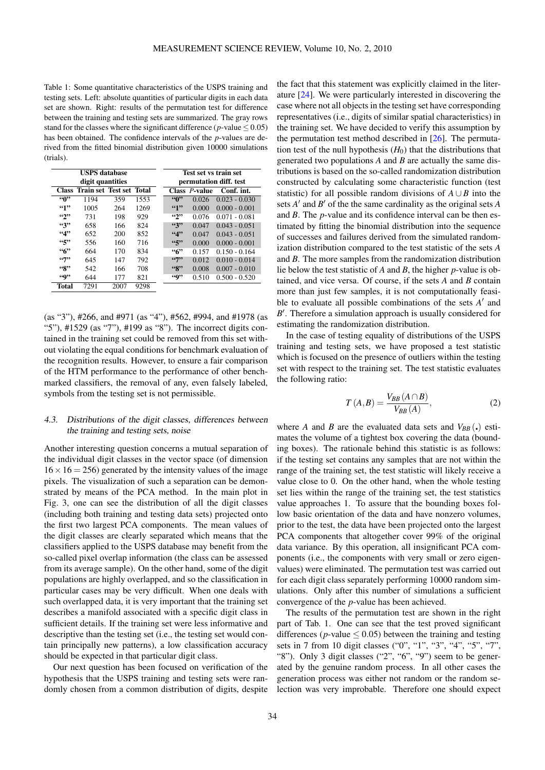<span id="page-6-0"></span>Table 1: Some quantitative characteristics of the USPS training and testing sets. Left: absolute quantities of particular digits in each data set are shown. Right: results of the permutation test for difference between the training and testing sets are summarized. The gray rows stand for the classes where the significant difference ( $p$ -value  $\leq 0.05$ ) has been obtained. The confidence intervals of the *p*-values are derived from the fitted binomial distribution given 10000 simulations (trials).

|                   | <b>USPS</b> database<br>digit quantities |      | Test set vs train set<br>permutation diff. test |  |                           |               |                 |
|-------------------|------------------------------------------|------|-------------------------------------------------|--|---------------------------|---------------|-----------------|
|                   | <b>Class Train set Test set Total</b>    |      |                                                 |  |                           | Class P-value | Conf. int.      |
| $\overline{``0"}$ | 1194                                     | 359  | 1553                                            |  | $\mathcal{L}(\mathbf{0})$ | 0.026         | $0.023 - 0.030$ |
| 551               | 1005                                     | 264  | 1269                                            |  | 551                       | 0.000         | $0.000 - 0.001$ |
| (52)              | 731                                      | 198  | 929                                             |  | $\sum$                    | 0.076         | $0.071 - 0.081$ |
| (3)               | 658                                      | 166  | 824                                             |  | (3)                       | 0.047         | $0.043 - 0.051$ |
| 49                | 652                                      | 200  | 852                                             |  | 64                        | 0.047         | $0.043 - 0.051$ |
| (5, 7)            | 556                                      | 160  | 716                                             |  | 55                        | 0.000         | $0.000 - 0.001$ |
| 46                | 664                                      | 170  | 834                                             |  | 46                        | 0.157         | $0.150 - 0.164$ |
| 557               | 645                                      | 147  | 792                                             |  | 557                       | 0.012         | $0.010 - 0.014$ |
| (3)               | 542                                      | 166  | 708                                             |  | (3)                       | 0.008         | $0.007 - 0.010$ |
| G(y)              | 644                                      | 177  | 821                                             |  | G(y)                      | 0.510         | $0.500 - 0.520$ |
| <b>Total</b>      | 7291                                     | 2007 | 9298                                            |  |                           |               |                 |

(as "3"), #266, and #971 (as "4"), #562, #994, and #1978 (as "5"), #1529 (as "7"), #199 as "8"). The incorrect digits contained in the training set could be removed from this set without violating the equal conditions for benchmark evaluation of the recognition results. However, to ensure a fair comparison of the HTM performance to the performance of other benchmarked classifiers, the removal of any, even falsely labeled, symbols from the testing set is not permissible.

# <span id="page-6-1"></span>4.3. Distributions of the digit classes, differences between the training and testing sets, noise

Another interesting question concerns a mutual separation of the individual digit classes in the vector space (of dimension  $16 \times 16 = 256$ ) generated by the intensity values of the image pixels. The visualization of such a separation can be demonstrated by means of the PCA method. In the main plot in Fig. [3,](#page-7-1) one can see the distribution of all the digit classes (including both training and testing data sets) projected onto the first two largest PCA components. The mean values of the digit classes are clearly separated which means that the classifiers applied to the USPS database may benefit from the so-called pixel overlap information (the class can be assessed from its average sample). On the other hand, some of the digit populations are highly overlapped, and so the classification in particular cases may be very difficult. When one deals with such overlapped data, it is very important that the training set describes a manifold associated with a specific digit class in sufficient details. If the training set were less informative and descriptive than the testing set (i.e., the testing set would contain principally new patterns), a low classification accuracy should be expected in that particular digit class.

Our next question has been focused on verification of the hypothesis that the USPS training and testing sets were randomly chosen from a common distribution of digits, despite the fact that this statement was explicitly claimed in the literature [\[24\]](#page-20-23). We were particularly interested in discovering the case where not all objects in the testing set have corresponding representatives (i.e., digits of similar spatial characteristics) in the training set. We have decided to verify this assumption by the permutation test method described in  $[26]$ . The permutation test of the null hypothesis  $(H_0)$  that the distributions that generated two populations *A* and *B* are actually the same distributions is based on the so-called randomization distribution constructed by calculating some characteristic function (test statistic) for all possible random divisions of  $A \cup B$  into the sets  $A'$  and  $B'$  of the the same cardinality as the original sets  $A$ and *B*. The *p*-value and its confidence interval can be then estimated by fitting the binomial distribution into the sequence of successes and failures derived from the simulated randomization distribution compared to the test statistic of the sets *A* and *B*. The more samples from the randomization distribution lie below the test statistic of *A* and *B*, the higher *p*-value is obtained, and vice versa. Of course, if the sets *A* and *B* contain more than just few samples, it is not computationally feasible to evaluate all possible combinations of the sets *A'* and B<sup>'</sup>. Therefore a simulation approach is usually considered for estimating the randomization distribution.

In the case of testing equality of distributions of the USPS training and testing sets, we have proposed a test statistic which is focused on the presence of outliers within the testing set with respect to the training set. The test statistic evaluates the following ratio:

$$
T(A,B) = \frac{V_{BB}(A \cap B)}{V_{BB}(A)},
$$
\n(2)

where *A* and *B* are the evaluated data sets and  $V_{BB}(\cdot)$  estimates the volume of a tightest box covering the data (bounding boxes). The rationale behind this statistic is as follows: if the testing set contains any samples that are not within the range of the training set, the test statistic will likely receive a value close to 0. On the other hand, when the whole testing set lies within the range of the training set, the test statistics value approaches 1. To assure that the bounding boxes follow basic orientation of the data and have nonzero volumes, prior to the test, the data have been projected onto the largest PCA components that altogether cover 99% of the original data variance. By this operation, all insignificant PCA components (i.e., the components with very small or zero eigenvalues) were eliminated. The permutation test was carried out for each digit class separately performing 10000 random simulations. Only after this number of simulations a sufficient convergence of the *p*-value has been achieved.

The results of the permutation test are shown in the right part of Tab. [1.](#page-6-0) One can see that the test proved significant differences ( $p$ -value  $\leq$  0.05) between the training and testing sets in 7 from 10 digit classes ("0", "1", "3", "4", "5", "7", "8"). Only 3 digit classes ("2", "6", "9") seem to be generated by the genuine random process. In all other cases the generation process was either not random or the random selection was very improbable. Therefore one should expect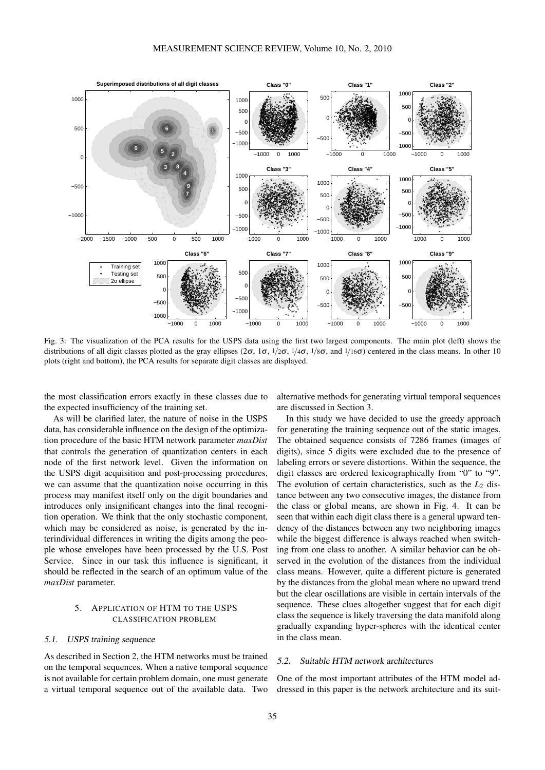<span id="page-7-1"></span>

Fig. 3: The visualization of the PCA results for the USPS data using the first two largest components. The main plot (left) shows the distributions of all digit classes plotted as the gray ellipses ( $2\sigma$ ,  $1\sigma$ ,  $1/2\sigma$ ,  $1/4\sigma$ ,  $1/8\sigma$ , and  $1/16\sigma$ ) centered in the class means. In other 10 plots (right and bottom), the PCA results for separate digit classes are displayed.

the most classification errors exactly in these classes due to the expected insufficiency of the training set.

As will be clarified later, the nature of noise in the USPS data, has considerable influence on the design of the optimization procedure of the basic HTM network parameter *maxDist* that controls the generation of quantization centers in each node of the first network level. Given the information on the USPS digit acquisition and post-processing procedures, we can assume that the quantization noise occurring in this process may manifest itself only on the digit boundaries and introduces only insignificant changes into the final recognition operation. We think that the only stochastic component, which may be considered as noise, is generated by the interindividual differences in writing the digits among the people whose envelopes have been processed by the U.S. Post Service. Since in our task this influence is significant, it should be reflected in the search of an optimum value of the *maxDist* parameter.

# <span id="page-7-2"></span>5. APPLICATION OF HTM TO THE USPS CLASSIFICATION PROBLEM

# <span id="page-7-0"></span>5.1. USPS training sequence

As described in Section [2,](#page-1-0) the HTM networks must be trained on the temporal sequences. When a native temporal sequence is not available for certain problem domain, one must generate a virtual temporal sequence out of the available data. Two alternative methods for generating virtual temporal sequences are discussed in Section [3.](#page-4-0)

In this study we have decided to use the greedy approach for generating the training sequence out of the static images. The obtained sequence consists of 7286 frames (images of digits), since 5 digits were excluded due to the presence of labeling errors or severe distortions. Within the sequence, the digit classes are ordered lexicographically from "0" to "9". The evolution of certain characteristics, such as the  $L_2$  distance between any two consecutive images, the distance from the class or global means, are shown in Fig. [4.](#page-8-0) It can be seen that within each digit class there is a general upward tendency of the distances between any two neighboring images while the biggest difference is always reached when switching from one class to another. A similar behavior can be observed in the evolution of the distances from the individual class means. However, quite a different picture is generated by the distances from the global mean where no upward trend but the clear oscillations are visible in certain intervals of the sequence. These clues altogether suggest that for each digit class the sequence is likely traversing the data manifold along gradually expanding hyper-spheres with the identical center in the class mean.

# <span id="page-7-3"></span>5.2. Suitable HTM network architectures

One of the most important attributes of the HTM model addressed in this paper is the network architecture and its suit-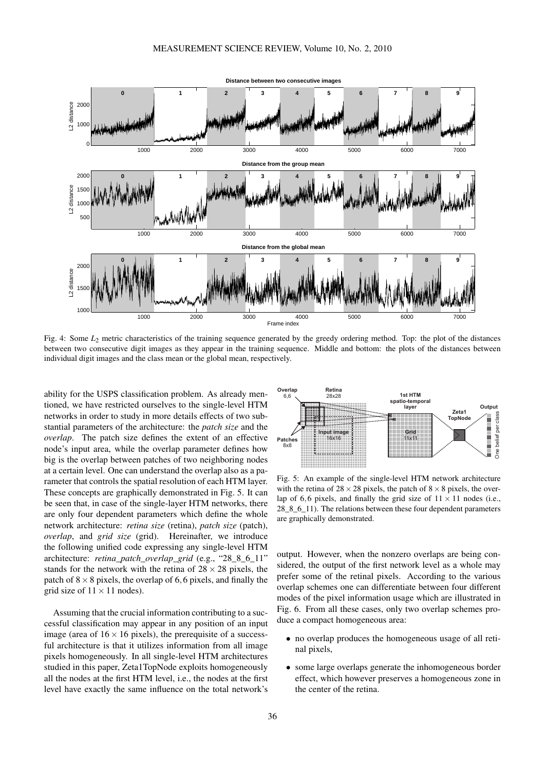<span id="page-8-0"></span>

Fig. 4: Some  $L_2$  metric characteristics of the training sequence generated by the greedy ordering method. Top: the plot of the distances between two consecutive digit images as they appear in the training sequence. Middle and bottom: the plots of the distances between individual digit images and the class mean or the global mean, respectively.

ability for the USPS classification problem. As already mentioned, we have restricted ourselves to the single-level HTM networks in order to study in more details effects of two substantial parameters of the architecture: the *patch size* and the *overlap*. The patch size defines the extent of an effective node's input area, while the overlap parameter defines how big is the overlap between patches of two neighboring nodes at a certain level. One can understand the overlap also as a parameter that controls the spatial resolution of each HTM layer. These concepts are graphically demonstrated in Fig. [5.](#page-8-1) It can be seen that, in case of the single-layer HTM networks, there are only four dependent parameters which define the whole network architecture: *retina size* (retina), *patch size* (patch), *overlap*, and *grid size* (grid). Hereinafter, we introduce the following unified code expressing any single-level HTM architecture: *retina\_patch\_overlap\_grid* (e.g., "28\_8\_6\_11" stands for the network with the retina of  $28 \times 28$  pixels, the patch of  $8 \times 8$  pixels, the overlap of 6,6 pixels, and finally the grid size of  $11 \times 11$  nodes).

Assuming that the crucial information contributing to a successful classification may appear in any position of an input image (area of  $16 \times 16$  pixels), the prerequisite of a successful architecture is that it utilizes information from all image pixels homogeneously. In all single-level HTM architectures studied in this paper, Zeta1TopNode exploits homogeneously all the nodes at the first HTM level, i.e., the nodes at the first level have exactly the same influence on the total network's

<span id="page-8-1"></span>

Fig. 5: An example of the single-level HTM network architecture with the retina of  $28 \times 28$  pixels, the patch of  $8 \times 8$  pixels, the overlap of 6,6 pixels, and finally the grid size of  $11 \times 11$  nodes (i.e., 28\_8\_6\_11). The relations between these four dependent parameters are graphically demonstrated.

output. However, when the nonzero overlaps are being considered, the output of the first network level as a whole may prefer some of the retinal pixels. According to the various overlap schemes one can differentiate between four different modes of the pixel information usage which are illustrated in Fig. [6.](#page-9-0) From all these cases, only two overlap schemes produce a compact homogeneous area:

- no overlap produces the homogeneous usage of all retinal pixels,
- some large overlaps generate the inhomogeneous border effect, which however preserves a homogeneous zone in the center of the retina.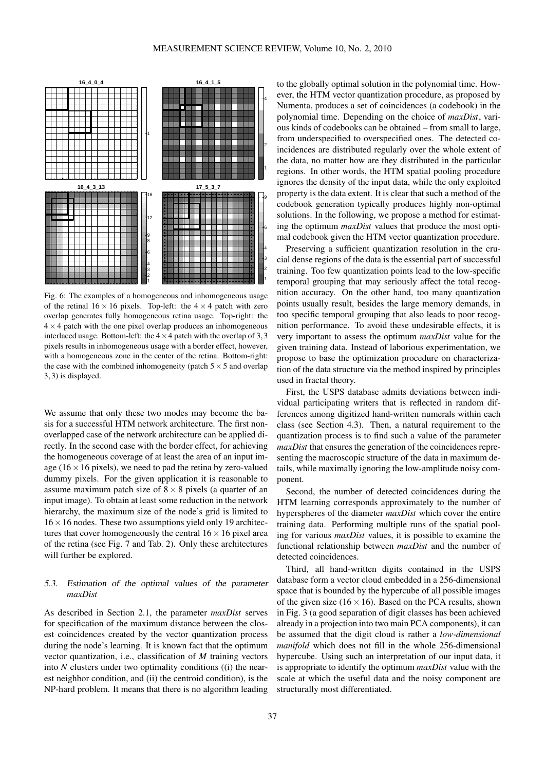<span id="page-9-0"></span>

Fig. 6: The examples of a homogeneous and inhomogeneous usage of the retinal  $16 \times 16$  pixels. Top-left: the  $4 \times 4$  patch with zero overlap generates fully homogeneous retina usage. Top-right: the  $4 \times 4$  patch with the one pixel overlap produces an inhomogeneous interlaced usage. Bottom-left: the  $4 \times 4$  patch with the overlap of 3,3 pixels results in inhomogeneous usage with a border effect, however, with a homogeneous zone in the center of the retina. Bottom-right: the case with the combined inhomogeneity (patch  $5 \times 5$  and overlap 3,3) is displayed.

We assume that only these two modes may become the basis for a successful HTM network architecture. The first nonoverlapped case of the network architecture can be applied directly. In the second case with the border effect, for achieving the homogeneous coverage of at least the area of an input image ( $16 \times 16$  pixels), we need to pad the retina by zero-valued dummy pixels. For the given application it is reasonable to assume maximum patch size of  $8 \times 8$  pixels (a quarter of an input image). To obtain at least some reduction in the network hierarchy, the maximum size of the node's grid is limited to  $16 \times 16$  nodes. These two assumptions yield only 19 architectures that cover homogeneously the central  $16 \times 16$  pixel area of the retina (see Fig. [7](#page-10-0) and Tab. [2\)](#page-11-0). Only these architectures will further be explored.

# <span id="page-9-1"></span>5.3. Estimation of the optimal values of the parameter *maxDist*

As described in Section [2.1,](#page-2-1) the parameter *maxDist* serves for specification of the maximum distance between the closest coincidences created by the vector quantization process during the node's learning. It is known fact that the optimum vector quantization, i.e., classification of *M* training vectors into *N* clusters under two optimality conditions ((i) the nearest neighbor condition, and (ii) the centroid condition), is the NP-hard problem. It means that there is no algorithm leading to the globally optimal solution in the polynomial time. However, the HTM vector quantization procedure, as proposed by Numenta, produces a set of coincidences (a codebook) in the polynomial time. Depending on the choice of *maxDist*, various kinds of codebooks can be obtained – from small to large, from underspecified to overspecified ones. The detected coincidences are distributed regularly over the whole extent of the data, no matter how are they distributed in the particular regions. In other words, the HTM spatial pooling procedure ignores the density of the input data, while the only exploited property is the data extent. It is clear that such a method of the codebook generation typically produces highly non-optimal solutions. In the following, we propose a method for estimating the optimum *maxDist* values that produce the most optimal codebook given the HTM vector quantization procedure.

Preserving a sufficient quantization resolution in the crucial dense regions of the data is the essential part of successful training. Too few quantization points lead to the low-specific temporal grouping that may seriously affect the total recognition accuracy. On the other hand, too many quantization points usually result, besides the large memory demands, in too specific temporal grouping that also leads to poor recognition performance. To avoid these undesirable effects, it is very important to assess the optimum *maxDist* value for the given training data. Instead of laborious experimentation, we propose to base the optimization procedure on characterization of the data structure via the method inspired by principles used in fractal theory.

First, the USPS database admits deviations between individual participating writers that is reflected in random differences among digitized hand-written numerals within each class (see Section [4.3\)](#page-6-1). Then, a natural requirement to the quantization process is to find such a value of the parameter *maxDist* that ensures the generation of the coincidences representing the macroscopic structure of the data in maximum details, while maximally ignoring the low-amplitude noisy component.

Second, the number of detected coincidences during the HTM learning corresponds approximately to the number of hyperspheres of the diameter *maxDist* which cover the entire training data. Performing multiple runs of the spatial pooling for various *maxDist* values, it is possible to examine the functional relationship between *maxDist* and the number of detected coincidences.

Third, all hand-written digits contained in the USPS database form a vector cloud embedded in a 256-dimensional space that is bounded by the hypercube of all possible images of the given size ( $16 \times 16$ ). Based on the PCA results, shown in Fig. [3](#page-7-1) (a good separation of digit classes has been achieved already in a projection into two main PCA components), it can be assumed that the digit cloud is rather a *low-dimensional manifold* which does not fill in the whole 256-dimensional hypercube. Using such an interpretation of our input data, it is appropriate to identify the optimum *maxDist* value with the scale at which the useful data and the noisy component are structurally most differentiated.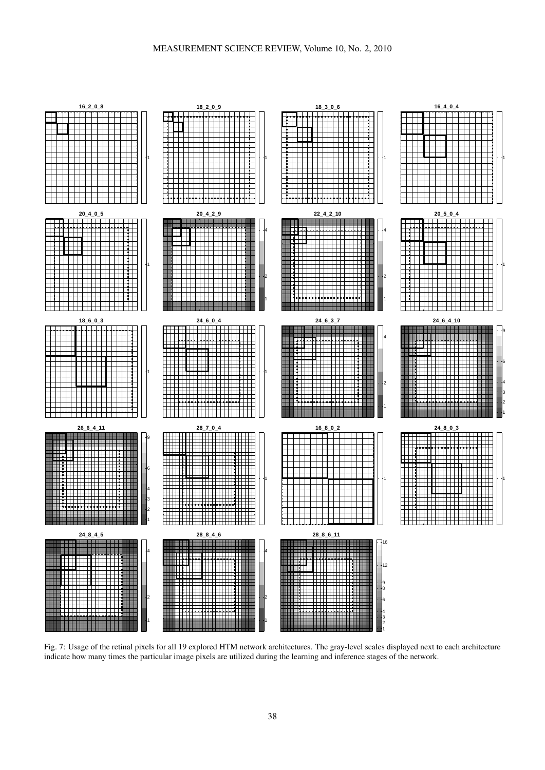<span id="page-10-0"></span>

Fig. 7: Usage of the retinal pixels for all 19 explored HTM network architectures. The gray-level scales displayed next to each architecture indicate how many times the particular image pixels are utilized during the learning and inference stages of the network.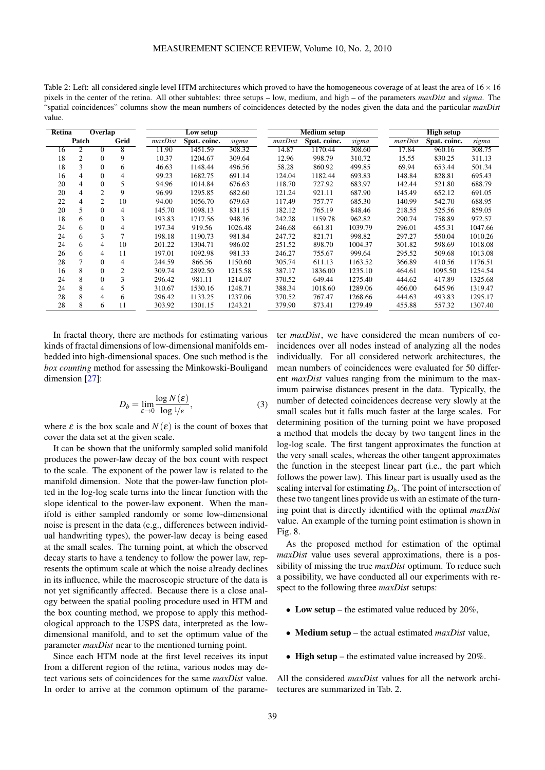<span id="page-11-0"></span>Table 2: Left: all considered single level HTM architectures which proved to have the homogeneous coverage of at least the area of  $16 \times 16$ pixels in the center of the retina. All other subtables: three setups – low, medium, and high – of the parameters *maxDist* and *sigma*. The "spatial coincidences" columns show the mean numbers of coincidences detected by the nodes given the data and the particular *maxDist* value.

| Retina |                | Overlap        |                | Low setup | <b>Medium setup</b> |         |  |         | High setup   |         |         |  |              |         |
|--------|----------------|----------------|----------------|-----------|---------------------|---------|--|---------|--------------|---------|---------|--|--------------|---------|
|        | Patch          |                | Grid           | maxDist   | Spat. coinc.        | sigma   |  | maxDist | Spat. coinc. | sigma   | maxDist |  | Spat. coinc. | sigma   |
| 16     | 2              | $\Omega$       | 8              | 11.90     | 1451.59             | 308.32  |  | 14.87   | 1170.44      | 308.60  | 17.84   |  | 960.16       | 308.75  |
| 18     | $\overline{c}$ | $\Omega$       | 9              | 10.37     | 1204.67             | 309.64  |  | 12.96   | 998.79       | 310.72  | 15.55   |  | 830.25       | 311.13  |
| 18     | 3              | $\Omega$       | 6              | 46.63     | 1148.44             | 496.56  |  | 58.28   | 860.92       | 499.85  | 69.94   |  | 653.44       | 501.34  |
| 16     | 4              | $\Omega$       | 4              | 99.23     | 1682.75             | 691.14  |  | 124.04  | 1182.44      | 693.83  | 148.84  |  | 828.81       | 695.43  |
| 20     | 4              | $\Omega$       | 5              | 94.96     | 1014.84             | 676.63  |  | 118.70  | 727.92       | 683.97  | 142.44  |  | 521.80       | 688.79  |
| 20     | 4              | $\overline{2}$ | 9              | 96.99     | 1295.85             | 682.60  |  | 121.24  | 921.11       | 687.90  | 145.49  |  | 652.12       | 691.05  |
| 22     | 4              | $\overline{2}$ | 10             | 94.00     | 1056.70             | 679.63  |  | 117.49  | 757.77       | 685.30  | 140.99  |  | 542.70       | 688.95  |
| 20     | 5              | $\Omega$       | $\overline{4}$ | 145.70    | 1098.13             | 831.15  |  | 182.12  | 765.19       | 848.46  | 218.55  |  | 525.56       | 859.05  |
| 18     | 6              | $\Omega$       | 3              | 193.83    | 1717.56             | 948.36  |  | 242.28  | 1159.78      | 962.82  | 290.74  |  | 758.89       | 972.57  |
| 24     | 6              | $\Omega$       | $\overline{4}$ | 197.34    | 919.56              | 1026.48 |  | 246.68  | 661.81       | 1039.79 | 296.01  |  | 455.31       | 1047.66 |
| 24     | 6              | 3              | 7              | 198.18    | 1190.73             | 981.84  |  | 247.72  | 821.71       | 998.82  | 297.27  |  | 550.04       | 1010.26 |
| 24     | 6              | 4              | 10             | 201.22    | 1304.71             | 986.02  |  | 251.52  | 898.70       | 1004.37 | 301.82  |  | 598.69       | 1018.08 |
| 26     | 6              | 4              | 11             | 197.01    | 1092.98             | 981.33  |  | 246.27  | 755.67       | 999.64  | 295.52  |  | 509.68       | 1013.08 |
| 28     | 7              | $\Omega$       | $\overline{4}$ | 244.59    | 866.56              | 1150.60 |  | 305.74  | 611.13       | 1163.52 | 366.89  |  | 410.56       | 1176.51 |
| 16     | 8              | $\Omega$       | 2              | 309.74    | 2892.50             | 1215.58 |  | 387.17  | 1836.00      | 1235.10 | 464.61  |  | 1095.50      | 1254.54 |
| 24     | 8              | $\Omega$       | 3              | 296.42    | 981.11              | 1214.07 |  | 370.52  | 649.44       | 1275.40 | 444.62  |  | 417.89       | 1325.68 |
| 24     | 8              | 4              | 5              | 310.67    | 1530.16             | 1248.71 |  | 388.34  | 1018.60      | 1289.06 | 466.00  |  | 645.96       | 1319.47 |
| 28     | 8              | 4              | 6              | 296.42    | 1133.25             | 1237.06 |  | 370.52  | 767.47       | 1268.66 | 444.63  |  | 493.83       | 1295.17 |
| 28     | 8              | 6              | 11             | 303.92    | 1301.15             | 1243.21 |  | 379.90  | 873.41       | 1279.49 | 455.88  |  | 557.32       | 1307.40 |

In fractal theory, there are methods for estimating various kinds of fractal dimensions of low-dimensional manifolds embedded into high-dimensional spaces. One such method is the *box counting* method for assessing the Minkowski-Bouligand dimension [\[27\]](#page-21-2):

$$
D_b = \lim_{\varepsilon \to 0} \frac{\log N(\varepsilon)}{\log 1/\varepsilon},\tag{3}
$$

where  $\varepsilon$  is the box scale and  $N(\varepsilon)$  is the count of boxes that cover the data set at the given scale.

It can be shown that the uniformly sampled solid manifold produces the power-law decay of the box count with respect to the scale. The exponent of the power law is related to the manifold dimension. Note that the power-law function plotted in the log-log scale turns into the linear function with the slope identical to the power-law exponent. When the manifold is either sampled randomly or some low-dimensional noise is present in the data (e.g., differences between individual handwriting types), the power-law decay is being eased at the small scales. The turning point, at which the observed decay starts to have a tendency to follow the power law, represents the optimum scale at which the noise already declines in its influence, while the macroscopic structure of the data is not yet significantly affected. Because there is a close analogy between the spatial pooling procedure used in HTM and the box counting method, we propose to apply this methodological approach to the USPS data, interpreted as the lowdimensional manifold, and to set the optimum value of the parameter *maxDist* near to the mentioned turning point.

Since each HTM node at the first level receives its input from a different region of the retina, various nodes may detect various sets of coincidences for the same *maxDist* value. In order to arrive at the common optimum of the parameter *maxDist*, we have considered the mean numbers of coincidences over all nodes instead of analyzing all the nodes individually. For all considered network architectures, the mean numbers of coincidences were evaluated for 50 different *maxDist* values ranging from the minimum to the maximum pairwise distances present in the data. Typically, the number of detected coincidences decrease very slowly at the small scales but it falls much faster at the large scales. For determining position of the turning point we have proposed a method that models the decay by two tangent lines in the log-log scale. The first tangent approximates the function at the very small scales, whereas the other tangent approximates the function in the steepest linear part (i.e., the part which follows the power law). This linear part is usually used as the scaling interval for estimating  $D<sub>b</sub>$ . The point of intersection of these two tangent lines provide us with an estimate of the turning point that is directly identified with the optimal *maxDist* value. An example of the turning point estimation is shown in Fig. [8.](#page-12-0)

As the proposed method for estimation of the optimal *maxDist* value uses several approximations, there is a possibility of missing the true *maxDist* optimum. To reduce such a possibility, we have conducted all our experiments with respect to the following three *maxDist* setups:

- Low setup the estimated value reduced by  $20\%$ ,
- Medium setup the actual estimated *maxDist* value,
- High setup the estimated value increased by 20%.

All the considered *maxDist* values for all the network architectures are summarized in Tab. [2.](#page-11-0)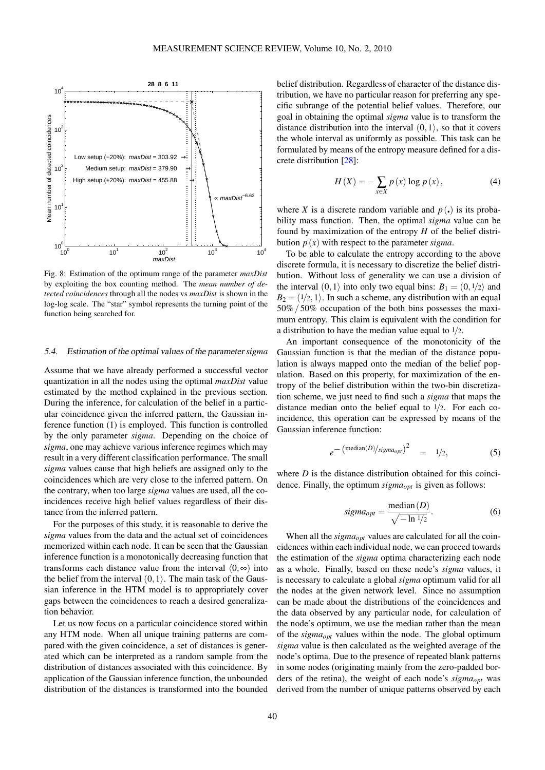<span id="page-12-0"></span>

Fig. 8: Estimation of the optimum range of the parameter *maxDist* by exploiting the box counting method. The *mean number of detected coincidences* through all the nodes vs *maxDist* is shown in the log-log scale. The "star" symbol represents the turning point of the function being searched for.

## <span id="page-12-1"></span>5.4. Estimation of the optimal values of the parameter *sigma*

Assume that we have already performed a successful vector quantization in all the nodes using the optimal *maxDist* value estimated by the method explained in the previous section. During the inference, for calculation of the belief in a particular coincidence given the inferred pattern, the Gaussian inference function [\(1\)](#page-3-0) is employed. This function is controlled by the only parameter *sigma*. Depending on the choice of *sigma*, one may achieve various inference regimes which may result in a very different classification performance. The small *sigma* values cause that high beliefs are assigned only to the coincidences which are very close to the inferred pattern. On the contrary, when too large *sigma* values are used, all the coincidences receive high belief values regardless of their distance from the inferred pattern.

For the purposes of this study, it is reasonable to derive the *sigma* values from the data and the actual set of coincidences memorized within each node. It can be seen that the Gaussian inference function is a monotonically decreasing function that transforms each distance value from the interval  $(0,∞)$  into the belief from the interval  $(0,1)$ . The main task of the Gaussian inference in the HTM model is to appropriately cover gaps between the coincidences to reach a desired generalization behavior.

Let us now focus on a particular coincidence stored within any HTM node. When all unique training patterns are compared with the given coincidence, a set of distances is generated which can be interpreted as a random sample from the distribution of distances associated with this coincidence. By application of the Gaussian inference function, the unbounded distribution of the distances is transformed into the bounded belief distribution. Regardless of character of the distance distribution, we have no particular reason for preferring any specific subrange of the potential belief values. Therefore, our goal in obtaining the optimal *sigma* value is to transform the distance distribution into the interval  $(0,1)$ , so that it covers the whole interval as uniformly as possible. This task can be formulated by means of the entropy measure defined for a discrete distribution [\[28\]](#page-21-3):

$$
H(X) = -\sum_{x \in X} p(x) \log p(x), \qquad (4)
$$

where *X* is a discrete random variable and  $p(.)$  is its probability mass function. Then, the optimal *sigma* value can be found by maximization of the entropy *H* of the belief distribution  $p(x)$  with respect to the parameter *sigma*.

To be able to calculate the entropy according to the above discrete formula, it is necessary to discretize the belief distribution. Without loss of generality we can use a division of the interval  $(0,1)$  into only two equal bins:  $B_1 = (0,1/2)$  and  $B_2 = (1/2, 1)$ . In such a scheme, any distribution with an equal 50%/50% occupation of the both bins possesses the maximum entropy. This claim is equivalent with the condition for a distribution to have the median value equal to  $1/2$ .

An important consequence of the monotonicity of the Gaussian function is that the median of the distance population is always mapped onto the median of the belief population. Based on this property, for maximization of the entropy of the belief distribution within the two-bin discretization scheme, we just need to find such a *sigma* that maps the distance median onto the belief equal to 1/2. For each coincidence, this operation can be expressed by means of the Gaussian inference function:

$$
e^{-\left(\text{median}(D)/_{sigma_{opt}}\right)^2} = 1/2, \tag{5}
$$

<span id="page-12-2"></span>where *D* is the distance distribution obtained for this coincidence. Finally, the optimum *sigmaopt* is given as follows:

$$
sigma_{opt} = \frac{\text{median}(D)}{\sqrt{-\ln 1/2}}.
$$
 (6)

When all the *sigma<sub>opt</sub>* values are calculated for all the coincidences within each individual node, we can proceed towards the estimation of the *sigma* optima characterizing each node as a whole. Finally, based on these node's *sigma* values, it is necessary to calculate a global *sigma* optimum valid for all the nodes at the given network level. Since no assumption can be made about the distributions of the coincidences and the data observed by any particular node, for calculation of the node's optimum, we use the median rather than the mean of the *sigmaopt* values within the node. The global optimum *sigma* value is then calculated as the weighted average of the node's optima. Due to the presence of repeated blank patterns in some nodes (originating mainly from the zero-padded borders of the retina), the weight of each node's *sigmaopt* was derived from the number of unique patterns observed by each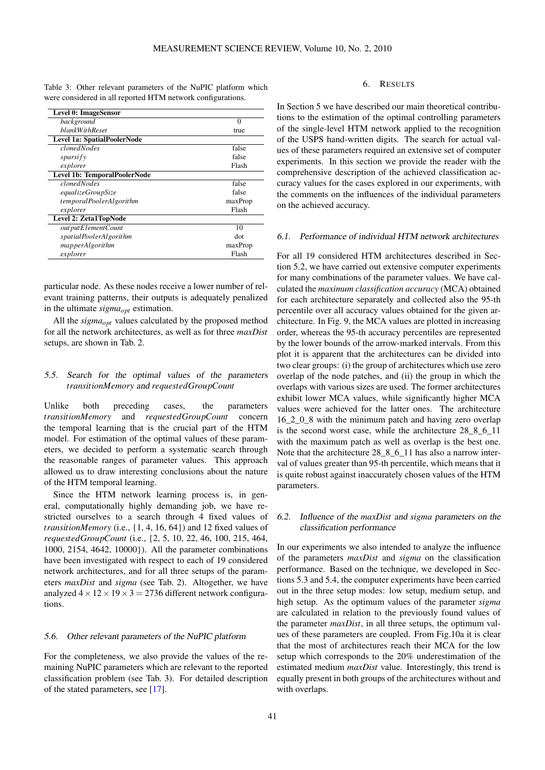<span id="page-13-0"></span>Table 3: Other relevant parameters of the NuPIC platform which were considered in all reported HTM network configurations.

| Level 0: ImageSensor         |          |
|------------------------------|----------|
| background                   | $\Omega$ |
| <b>blankWithReset</b>        | true     |
| Level 1a: SpatialPoolerNode  |          |
| clonedNodes                  | false    |
| sparsify                     | false    |
| explorer                     | Flash    |
| Level 1b: TemporalPoolerNode |          |
| clonedNodes                  | false    |
| equalizeGroupSize            | false    |
| temporalPoolerAlgorithm      | maxProp  |
| explorer                     | Flash    |
| Level 2: Zeta1TopNode        |          |
| out put Element Count        | 10       |
| spatialPoolerAlgorithm       | dot      |
| mapperAlgorithm              | maxProp  |
| explorer                     | Flash    |

particular node. As these nodes receive a lower number of relevant training patterns, their outputs is adequately penalized in the ultimate *sigmaopt* estimation.

All the *sigmaopt* values calculated by the proposed method for all the network architectures, as well as for three *maxDist* setups, are shown in Tab. [2.](#page-11-0)

# <span id="page-13-1"></span>5.5. Search for the optimal values of the parameters *transitionMemory* and *requestedGroupCount*

Unlike both preceding cases, the parameters *transitionMemory* and *requestedGroupCount* concern the temporal learning that is the crucial part of the HTM model. For estimation of the optimal values of these parameters, we decided to perform a systematic search through the reasonable ranges of parameter values. This approach allowed us to draw interesting conclusions about the nature of the HTM temporal learning.

Since the HTM network learning process is, in general, computationally highly demanding job, we have restricted ourselves to a search through 4 fixed values of *transitionMemory* (i.e., {1, 4, 16, 64}) and 12 fixed values of *requestedGroupCount* (i.e., {2, 5, 10, 22, 46, 100, 215, 464, 1000, 2154, 4642, 10000}). All the parameter combinations have been investigated with respect to each of 19 considered network architectures, and for all three setups of the parameters *maxDist* and *sigma* (see Tab. [2\)](#page-11-0). Altogether, we have analyzed  $4 \times 12 \times 19 \times 3 = 2736$  different network configurations.

# 5.6. Other relevant parameters of the NuPIC platform

For the completeness, we also provide the values of the remaining NuPIC parameters which are relevant to the reported classification problem (see Tab. [3\)](#page-13-0). For detailed description of the stated parameters, see [\[17\]](#page-20-16).

# 6. RESULTS

In Section [5](#page-7-2) we have described our main theoretical contributions to the estimation of the optimal controlling parameters of the single-level HTM network applied to the recognition of the USPS hand-written digits. The search for actual values of these parameters required an extensive set of computer experiments. In this section we provide the reader with the comprehensive description of the achieved classification accuracy values for the cases explored in our experiments, with the comments on the influences of the individual parameters on the achieved accuracy.

# 6.1. Performance of individual HTM network architectures

For all 19 considered HTM architectures described in Section [5.2,](#page-7-3) we have carried out extensive computer experiments for many combinations of the parameter values. We have calculated the *maximum classification accuracy* (MCA) obtained for each architecture separately and collected also the 95-th percentile over all accuracy values obtained for the given architecture. In Fig. [9,](#page-14-0) the MCA values are plotted in increasing order, whereas the 95-th accuracy percentiles are represented by the lower bounds of the arrow-marked intervals. From this plot it is apparent that the architectures can be divided into two clear groups: (i) the group of architectures which use zero overlap of the node patches, and (ii) the group in which the overlaps with various sizes are used. The former architectures exhibit lower MCA values, while significantly higher MCA values were achieved for the latter ones. The architecture 16\_2\_0\_8 with the minimum patch and having zero overlap is the second worst case, while the architecture 28\_8\_6\_11 with the maximum patch as well as overlap is the best one. Note that the architecture 28\_8\_6\_11 has also a narrow interval of values greater than 95-th percentile, which means that it is quite robust against inaccurately chosen values of the HTM parameters.

# 6.2. Influence of the *maxDist* and *sigma* parameters on the classification performance

In our experiments we also intended to analyze the influence of the parameters *maxDist* and *sigma* on the classification performance. Based on the technique, we developed in Sections [5.3](#page-9-1) and [5.4,](#page-12-1) the computer experiments have been carried out in the three setup modes: low setup, medium setup, and high setup. As the optimum values of the parameter *sigma* are calculated in relation to the previously found values of the parameter *maxDist*, in all three setups, the optimum values of these parameters are coupled. From Fig[.10a](#page-15-0) it is clear that the most of architectures reach their MCA for the low setup which corresponds to the 20% underestimation of the estimated medium *maxDist* value. Interestingly, this trend is equally present in both groups of the architectures without and with overlaps.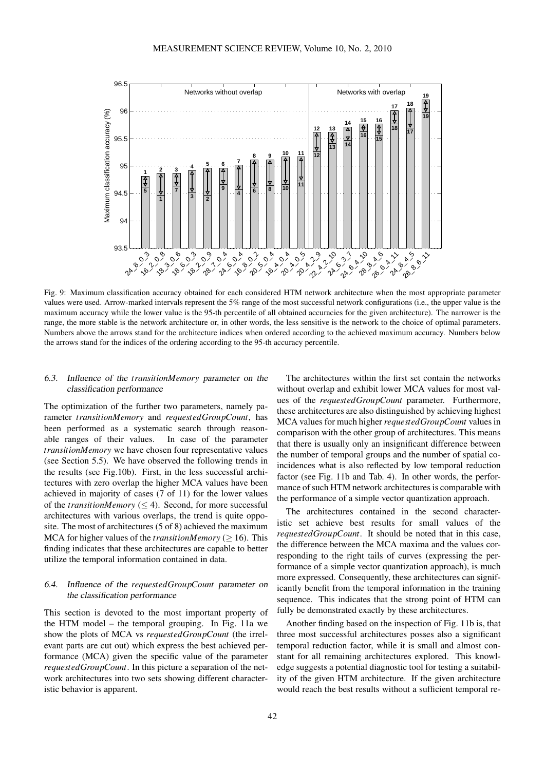<span id="page-14-0"></span>

Fig. 9: Maximum classification accuracy obtained for each considered HTM network architecture when the most appropriate parameter values were used. Arrow-marked intervals represent the 5% range of the most successful network configurations (i.e., the upper value is the maximum accuracy while the lower value is the 95-th percentile of all obtained accuracies for the given architecture). The narrower is the range, the more stable is the network architecture or, in other words, the less sensitive is the network to the choice of optimal parameters. Numbers above the arrows stand for the architecture indices when ordered according to the achieved maximum accuracy. Numbers below the arrows stand for the indices of the ordering according to the 95-th accuracy percentile.

# 6.3. Influence of the *transitionMemory* parameter on the classification performance

The optimization of the further two parameters, namely parameter *transitionMemory* and *requestedGroupCount*, has been performed as a systematic search through reasonable ranges of their values. In case of the parameter *transitionMemory* we have chosen four representative values (see Section [5.5\)](#page-13-1). We have observed the following trends in the results (see Fig[.10b](#page-15-0)). First, in the less successful architectures with zero overlap the higher MCA values have been achieved in majority of cases (7 of 11) for the lower values of the *transitionMemory* ( $\leq$  4). Second, for more successful architectures with various overlaps, the trend is quite opposite. The most of architectures (5 of 8) achieved the maximum MCA for higher values of the *transitionMemory* ( $> 16$ ). This finding indicates that these architectures are capable to better utilize the temporal information contained in data.

# 6.4. Influence of the *requestedGroupCount* parameter on the classification performance

This section is devoted to the most important property of the HTM model – the temporal grouping. In Fig. [11a](#page-16-0) we show the plots of MCA vs *requestedGroupCount* (the irrelevant parts are cut out) which express the best achieved performance (MCA) given the specific value of the parameter *requestedGroupCount*. In this picture a separation of the network architectures into two sets showing different characteristic behavior is apparent.

The architectures within the first set contain the networks without overlap and exhibit lower MCA values for most values of the *requestedGroupCount* parameter. Furthermore, these architectures are also distinguished by achieving highest MCA values for much higher *requestedGroupCount* values in comparison with the other group of architectures. This means that there is usually only an insignificant difference between the number of temporal groups and the number of spatial coincidences what is also reflected by low temporal reduction factor (see Fig. [11b](#page-16-0) and Tab. [4\)](#page-17-0). In other words, the performance of such HTM network architectures is comparable with the performance of a simple vector quantization approach.

The architectures contained in the second characteristic set achieve best results for small values of the *requestedGroupCount*. It should be noted that in this case, the difference between the MCA maxima and the values corresponding to the right tails of curves (expressing the performance of a simple vector quantization approach), is much more expressed. Consequently, these architectures can significantly benefit from the temporal information in the training sequence. This indicates that the strong point of HTM can fully be demonstrated exactly by these architectures.

Another finding based on the inspection of Fig. [11b](#page-16-0) is, that three most successful architectures posses also a significant temporal reduction factor, while it is small and almost constant for all remaining architectures explored. This knowledge suggests a potential diagnostic tool for testing a suitability of the given HTM architecture. If the given architecture would reach the best results without a sufficient temporal re-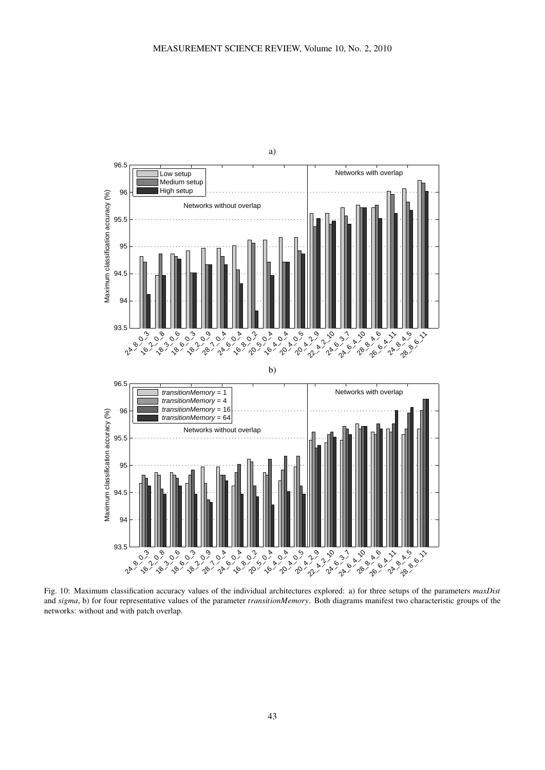<span id="page-15-0"></span>

Fig. 10: Maximum classification accuracy values of the individual architectures explored: a) for three setups of the parameters *maxDist* and *sigma*, b) for four representative values of the parameter *transitionMemory*. Both diagrams manifest two characteristic groups of the networks: without and with patch overlap.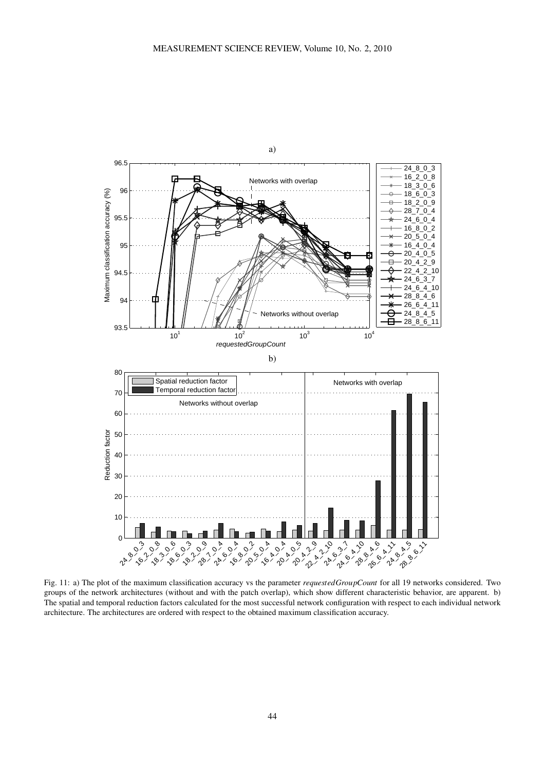<span id="page-16-0"></span>

Fig. 11: a) The plot of the maximum classification accuracy vs the parameter *requestedGroupCount* for all 19 networks considered. Two groups of the network architectures (without and with the patch overlap), which show different characteristic behavior, are apparent. b) The spatial and temporal reduction factors calculated for the most successful network configuration with respect to each individual network architecture. The architectures are ordered with respect to the obtained maximum classification accuracy.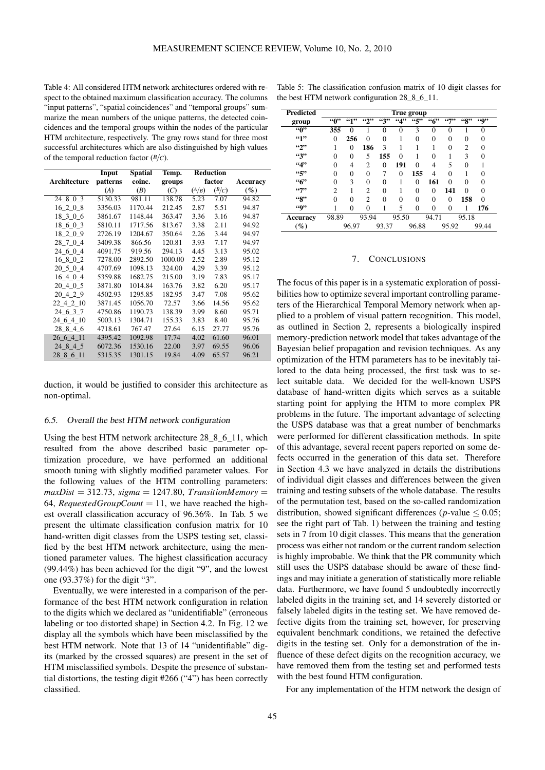<span id="page-17-0"></span>Table 4: All considered HTM network architectures ordered with respect to the obtained maximum classification accuracy. The columns "input patterns", "spatial coincidences" and "temporal groups" summarize the mean numbers of the unique patterns, the detected coincidences and the temporal groups within the nodes of the particular HTM architecture, respectively. The gray rows stand for three most successful architectures which are also distinguished by high values of the temporal reduction factor (*B*/*C*).

|               | Input    | <b>Spatial</b> | Temp.   |       | <b>Reduction</b> |          |
|---------------|----------|----------------|---------|-------|------------------|----------|
| Architecture  | patterns | coinc.         | groups  |       | factor           | Accuracy |
|               | (A)      | (B)            | (C)     | (A/B) | (B/C)            | $(\%)$   |
| $24\_8\_0\_3$ | 5130.33  | 981.11         | 138.78  | 5.23  | 7.07             | 94.82    |
| 16 2 0 8      | 3356.03  | 1170.44        | 212.45  | 2.87  | 5.51             | 94.87    |
| 18 3 0 6      | 3861.67  | 1148.44        | 363.47  | 3.36  | 3.16             | 94.87    |
| 18 6 0 3      | 5810.11  | 1717.56        | 813.67  | 3.38  | 2.11             | 94.92    |
| 18 2 0 9      | 2726.19  | 1204.67        | 350.64  | 2.26  | 3.44             | 94.97    |
| 28 7 0 4      | 3409.38  | 866.56         | 120.81  | 3.93  | 7.17             | 94.97    |
| 24 6 0 4      | 4091.75  | 919.56         | 294.13  | 4.45  | 3.13             | 95.02    |
| 16 8 0 2      | 7278.00  | 2892.50        | 1000.00 | 2.52  | 2.89             | 95.12    |
| 20 5 0 4      | 4707.69  | 1098.13        | 324.00  | 4.29  | 3.39             | 95.12    |
| 16 4 0 4      | 5359.88  | 1682.75        | 215.00  | 3.19  | 7.83             | 95.17    |
| 20, 4, 0, 5   | 3871.80  | 1014.84        | 163.76  | 3.82  | 6.20             | 95.17    |
| 20 4 2 9      | 4502.93  | 1295.85        | 182.95  | 3.47  | 7.08             | 95.62    |
| 22 4 2 10     | 3871.45  | 1056.70        | 72.57   | 3.66  | 14.56            | 95.62    |
| 24 6 3 7      | 4750.86  | 1190.73        | 138.39  | 3.99  | 8.60             | 95.71    |
| 24 6 4 10     | 5003.13  | 1304.71        | 155.33  | 3.83  | 8.40             | 95.76    |
| 28 8 4 6      | 4718.61  | 767.47         | 27.64   | 6.15  | 27.77            | 95.76    |
| 26 6 4 11     | 4395.42  | 1092.98        | 17.74   | 4.02  | 61.60            | 96.01    |
| 24 8 4 5      | 6072.36  | 1530.16        | 22.00   | 3.97  | 69.55            | 96.06    |
| 28 8 6 11     | 5315.35  | 1301.15        | 19.84   | 4.09  | 65.57            | 96.21    |

duction, it would be justified to consider this architecture as non-optimal.

#### 6.5. Overall the best HTM network configuration

Using the best HTM network architecture 28\_8\_6\_11, which resulted from the above described basic parameter optimization procedure, we have performed an additional smooth tuning with slightly modified parameter values. For the following values of the HTM controlling parameters:  $maxDist = 312.73$ ,  $sigma = 1247.80$ ,  $TransitionMemory =$ 64, *RequestedGroupCount* = 11, we have reached the highest overall classification accuracy of 96.36%. In Tab. [5](#page-17-1) we present the ultimate classification confusion matrix for 10 hand-written digit classes from the USPS testing set, classified by the best HTM network architecture, using the mentioned parameter values. The highest classification accuracy (99.44%) has been achieved for the digit "9", and the lowest one (93.37%) for the digit "3".

Eventually, we were interested in a comparison of the performance of the best HTM network configuration in relation to the digits which we declared as "unidentifiable" (erroneous labeling or too distorted shape) in Section [4.2.](#page-5-1) In Fig. [12](#page-18-0) we display all the symbols which have been misclassified by the best HTM network. Note that 13 of 14 "unidentifiable" digits (marked by the crossed squares) are present in the set of HTM misclassified symbols. Despite the presence of substantial distortions, the testing digit #266 ("4") has been correctly classified.

<span id="page-17-1"></span>Table 5: The classification confusion matrix of 10 digit classes for the best HTM network configuration 28  $8, 6, 11$ .

| <b>Predicted</b> | <b>True group</b> |                 |                |                   |                |               |                |               |                   |                   |
|------------------|-------------------|-----------------|----------------|-------------------|----------------|---------------|----------------|---------------|-------------------|-------------------|
| group            | $\overline{402}$  | $\overline{55}$ | (62)           | $\overline{``3"}$ | $\overline{4}$ | $\frac{1}{5}$ | $\overline{5}$ | $\frac{1}{2}$ | $\overline{``8"}$ | $\overline{``q"}$ |
| $\mathfrak{so}$  | 355               | 0               |                | $\Omega$          | 0              | 3             | $\Omega$       | $\theta$      |                   | $\Omega$          |
| 551              | $\Omega$          | 256             | 0              | 0                 |                | 0             | 0              | $\Omega$      | 0                 | 0                 |
| (2)              |                   | 0               | 186            | 3                 |                |               |                | 0             | $\mathfrak{D}$    | 0                 |
| (3)              | 0                 | 0               | 5              | 155               | 0              |               | 0              |               | 3                 | 0                 |
| 49               | 0                 | 4               | $\mathfrak{D}$ | 0                 | 191            | $\Omega$      | 4              | 5             | 0                 |                   |
| 5,5              | 0                 | $\Omega$        | $\Omega$       | 7                 | 0              | 155           | 4              | $\Omega$      |                   | 0                 |
| 46               | 0                 | 3               | 0              | 0                 |                | $\Omega$      | 161            | $\Omega$      | 0                 | 0                 |
| 557              | $\overline{c}$    |                 | C              | 0                 |                | 0             | 0              | 141           | 0                 | 0                 |
| 49               | 0                 | 0               | C              | 0                 | 0              | 0             | 0              | $\Omega$      | 158               | $\Omega$          |
| «9"              |                   | 0               | 0              |                   | 5              | 0             | 0              | $\Omega$      |                   | 176               |
| Accuracy         | 98.89             |                 | 93.94          |                   | 95.50          |               | 94.71          |               | 95.18             |                   |
| $(\%)$           |                   | 96.97           |                | 93.37             |                | 96.88         |                | 95.92         |                   | 99.44             |

#### 7. CONCLUSIONS

The focus of this paper is in a systematic exploration of possibilities how to optimize several important controlling parameters of the Hierarchical Temporal Memory network when applied to a problem of visual pattern recognition. This model, as outlined in Section [2,](#page-1-0) represents a biologically inspired memory-prediction network model that takes advantage of the Bayesian belief propagation and revision techniques. As any optimization of the HTM parameters has to be inevitably tailored to the data being processed, the first task was to select suitable data. We decided for the well-known USPS database of hand-written digits which serves as a suitable starting point for applying the HTM to more complex PR problems in the future. The important advantage of selecting the USPS database was that a great number of benchmarks were performed for different classification methods. In spite of this advantage, several recent papers reported on some defects occurred in the generation of this data set. Therefore in Section [4.3](#page-6-1) we have analyzed in details the distributions of individual digit classes and differences between the given training and testing subsets of the whole database. The results of the permutation test, based on the so-called randomization distribution, showed significant differences ( $p$ -value  $\leq 0.05$ ; see the right part of Tab. [1\)](#page-6-0) between the training and testing sets in 7 from 10 digit classes. This means that the generation process was either not random or the current random selection is highly improbable. We think that the PR community which still uses the USPS database should be aware of these findings and may initiate a generation of statistically more reliable data. Furthermore, we have found 5 undoubtedly incorrectly labeled digits in the training set, and 14 severely distorted or falsely labeled digits in the testing set. We have removed defective digits from the training set, however, for preserving equivalent benchmark conditions, we retained the defective digits in the testing set. Only for a demonstration of the influence of these defect digits on the recognition accuracy, we have removed them from the testing set and performed tests with the best found HTM configuration.

For any implementation of the HTM network the design of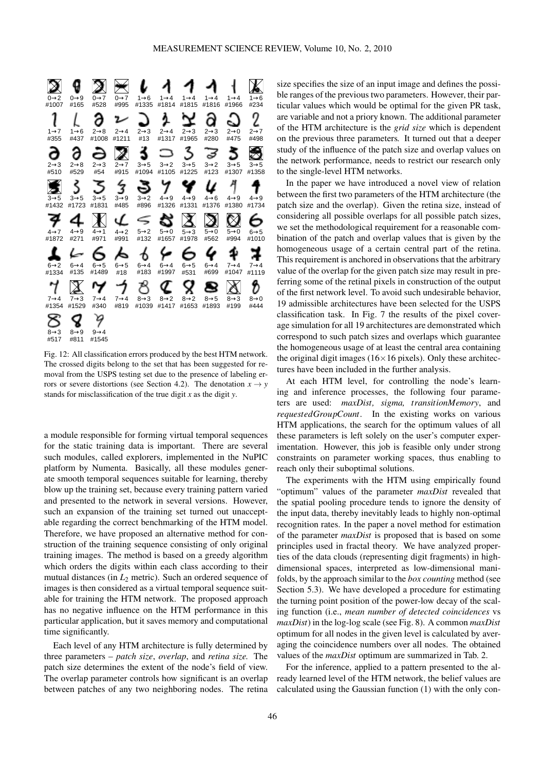<span id="page-18-0"></span>

Fig. 12: All classification errors produced by the best HTM network. The crossed digits belong to the set that has been suggested for removal from the USPS testing set due to the presence of labeling er-rors or severe distortions (see Section [4.2\)](#page-5-1). The denotation  $x \to y$ stands for misclassification of the true digit *x* as the digit *y*.

a module responsible for forming virtual temporal sequences for the static training data is important. There are several such modules, called explorers, implemented in the NuPIC platform by Numenta. Basically, all these modules generate smooth temporal sequences suitable for learning, thereby blow up the training set, because every training pattern varied and presented to the network in several versions. However, such an expansion of the training set turned out unacceptable regarding the correct benchmarking of the HTM model. Therefore, we have proposed an alternative method for construction of the training sequence consisting of only original training images. The method is based on a greedy algorithm which orders the digits within each class according to their mutual distances (in  $L<sub>2</sub>$  metric). Such an ordered sequence of images is then considered as a virtual temporal sequence suitable for training the HTM network. The proposed approach has no negative influence on the HTM performance in this particular application, but it saves memory and computational time significantly.

Each level of any HTM architecture is fully determined by three parameters – *patch size*, *overlap*, and *retina size.* The patch size determines the extent of the node's field of view. The overlap parameter controls how significant is an overlap between patches of any two neighboring nodes. The retina size specifies the size of an input image and defines the possible ranges of the previous two parameters. However, their particular values which would be optimal for the given PR task, are variable and not a priory known. The additional parameter of the HTM architecture is the *grid size* which is dependent on the previous three parameters*.* It turned out that a deeper study of the influence of the patch size and overlap values on the network performance, needs to restrict our research only to the single-level HTM networks.

In the paper we have introduced a novel view of relation between the first two parameters of the HTM architecture (the patch size and the overlap). Given the retina size, instead of considering all possible overlaps for all possible patch sizes, we set the methodological requirement for a reasonable combination of the patch and overlap values that is given by the homogeneous usage of a certain central part of the retina. This requirement is anchored in observations that the arbitrary value of the overlap for the given patch size may result in preferring some of the retinal pixels in construction of the output of the first network level. To avoid such undesirable behavior, 19 admissible architectures have been selected for the USPS classification task. In Fig. [7](#page-10-0) the results of the pixel coverage simulation for all 19 architectures are demonstrated which correspond to such patch sizes and overlaps which guarantee the homogeneous usage of at least the central area containing the original digit images ( $16 \times 16$  pixels). Only these architectures have been included in the further analysis.

At each HTM level, for controlling the node's learning and inference processes, the following four parameters are used: *maxDist, sigma, transitionMemory*, and *requestedGroupCount*. In the existing works on various HTM applications, the search for the optimum values of all these parameters is left solely on the user's computer experimentation. However, this job is feasible only under strong constraints on parameter working spaces, thus enabling to reach only their suboptimal solutions.

The experiments with the HTM using empirically found "optimum" values of the parameter *maxDist* revealed that the spatial pooling procedure tends to ignore the density of the input data, thereby inevitably leads to highly non-optimal recognition rates. In the paper a novel method for estimation of the parameter *maxDist* is proposed that is based on some principles used in fractal theory. We have analyzed properties of the data clouds (representing digit fragments) in highdimensional spaces, interpreted as low-dimensional manifolds, by the approach similar to the *box counting* method (see Section [5.3\)](#page-9-1). We have developed a procedure for estimating the turning point position of the power-low decay of the scaling function (i.e., *mean number of detected coincidences* vs *maxDist*) in the log-log scale (see Fig. [8\)](#page-12-0). A common *maxDist* optimum for all nodes in the given level is calculated by averaging the coincidence numbers over all nodes. The obtained values of the *maxDist* optimum are summarized in Tab. [2.](#page-11-0)

For the inference, applied to a pattern presented to the already learned level of the HTM network, the belief values are calculated using the Gaussian function [\(1\)](#page-3-0) with the only con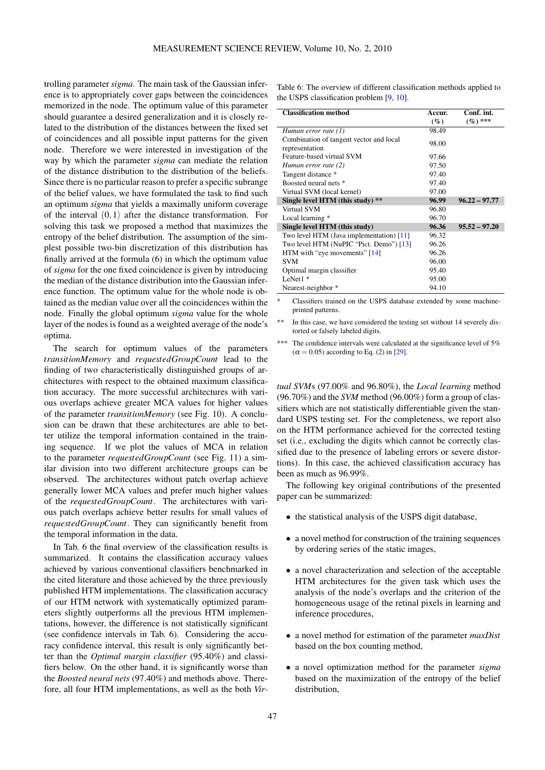trolling parameter *sigma*. The main task of the Gaussian inference is to appropriately cover gaps between the coincidences memorized in the node. The optimum value of this parameter should guarantee a desired generalization and it is closely related to the distribution of the distances between the fixed set of coincidences and all possible input patterns for the given node. Therefore we were interested in investigation of the way by which the parameter *sigma* can mediate the relation of the distance distribution to the distribution of the beliefs. Since there is no particular reason to prefer a specific subrange of the belief values, we have formulated the task to find such an optimum *sigma* that yields a maximally uniform coverage of the interval  $(0,1)$  after the distance transformation. For solving this task we proposed a method that maximizes the entropy of the belief distribution. The assumption of the simplest possible two-bin discretization of this distribution has finally arrived at the formula [\(6\)](#page-12-2) in which the optimum value of *sigma* for the one fixed coincidence is given by introducing the median of the distance distribution into the Gaussian inference function. The optimum value for the whole node is obtained as the median value over all the coincidences within the node. Finally the global optimum *sigma* value for the whole layer of the nodes is found as a weighted average of the node's optima.

The search for optimum values of the parameters *transitionMemory* and *requestedGroupCount* lead to the finding of two characteristically distinguished groups of architectures with respect to the obtained maximum classification accuracy. The more successful architectures with various overlaps achieve greater MCA values for higher values of the parameter *transitionMemory* (see Fig. [10\)](#page-15-0). A conclusion can be drawn that these architectures are able to better utilize the temporal information contained in the training sequence. If we plot the values of MCA in relation to the parameter *requestedGroupCount* (see Fig. [11\)](#page-16-0) a similar division into two different architecture groups can be observed. The architectures without patch overlap achieve generally lower MCA values and prefer much higher values of the *requestedGroupCount*. The architectures with various patch overlaps achieve better results for small values of *requestedGroupCount*. They can significantly benefit from the temporal information in the data.

In Tab. [6](#page-19-0) the final overview of the classification results is summarized. It contains the classification accuracy values achieved by various conventional classifiers benchmarked in the cited literature and those achieved by the three previously published HTM implementations. The classification accuracy of our HTM network with systematically optimized parameters slightly outperforms all the previous HTM implementations, however, the difference is not statistically significant (see confidence intervals in Tab. [6\)](#page-19-0). Considering the accuracy confidence interval, this result is only significantly better than the *Optimal margin classifier* (95.40%) and classifiers below. On the other hand, it is significantly worse than the *Boosted neural nets* (97.40%) and methods above. Therefore, all four HTM implementations, as well as the both *Vir-* <span id="page-19-0"></span>Table 6: The overview of different classification methods applied to the USPS classification problem [\[9,](#page-20-8) [10\]](#page-20-9).

| <b>Classification method</b>                              | Accur. | Conf. int.      |
|-----------------------------------------------------------|--------|-----------------|
|                                                           | $($ %) | $( %)$ ***      |
| Human error rate $(1)$                                    | 98.49  |                 |
| Combination of tangent vector and local<br>representation | 98.00  |                 |
| Feature-based virtual SVM                                 | 97.66  |                 |
| Human error rate (2)                                      | 97.50  |                 |
| Tangent distance *                                        | 97.40  |                 |
| Boosted neural nets *                                     | 97.40  |                 |
| Virtual SVM (local kernel)                                | 97.00  |                 |
| Single level HTM (this study) $**$                        | 96.99  | $96.22 - 97.77$ |
| Virtual SVM                                               | 96.80  |                 |
| Local learning *                                          | 96.70  |                 |
| Single level HTM (this study)                             | 96.36  | $95.52 - 97.20$ |
| Two level HTM (Java implementation) [11]                  | 96.32  |                 |
| Two level HTM (NuPIC "Pict. Demo") [13]                   | 96.26  |                 |
| HTM with "eye movements" $[14]$                           | 96.26  |                 |
| <b>SVM</b>                                                | 96.00  |                 |
| Optimal margin classifier                                 | 95.40  |                 |
| LeNet1 <sup>*</sup>                                       | 95.00  |                 |
| Nearest-neighbor *                                        | 94.10  |                 |

Classifiers trained on the USPS database extended by some machineprinted patterns.

In this case, we have considered the testing set without 14 severely distorted or falsely labeled digits.

The confidence intervals were calculated at the significance level of  $5%$  $(\alpha = 0.05)$  according to Eq. (2) in [\[29\]](#page-21-4).

*tual SVM*s (97.00% and 96.80%), the *Local learning* method (96.70%) and the *SVM* method (96.00%) form a group of classifiers which are not statistically differentiable given the standard USPS testing set. For the completeness, we report also on the HTM performance achieved for the corrected testing set (i.e., excluding the digits which cannot be correctly classified due to the presence of labeling errors or severe distortions). In this case, the achieved classification accuracy has been as much as 96.99%.

The following key original contributions of the presented paper can be summarized:

- the statistical analysis of the USPS digit database,
- a novel method for construction of the training sequences by ordering series of the static images,
- a novel characterization and selection of the acceptable HTM architectures for the given task which uses the analysis of the node's overlaps and the criterion of the homogeneous usage of the retinal pixels in learning and inference procedures,
- a novel method for estimation of the parameter *maxDist* based on the box counting method,
- a novel optimization method for the parameter *sigma* based on the maximization of the entropy of the belief distribution,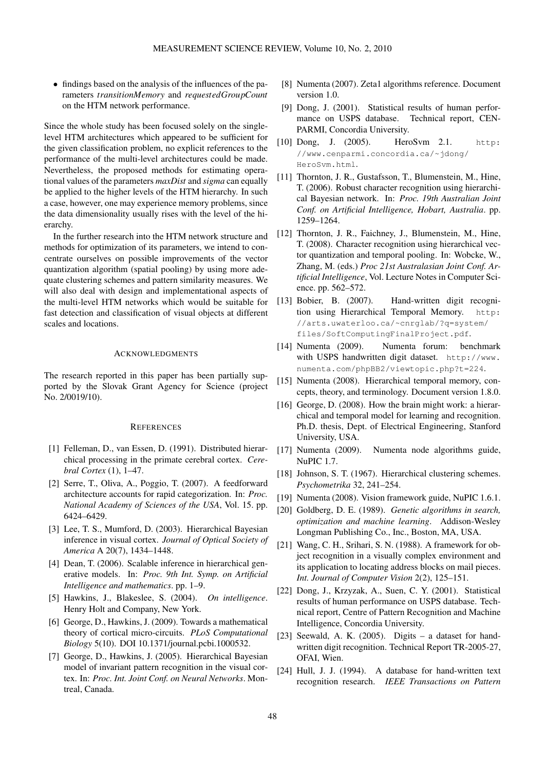• findings based on the analysis of the influences of the parameters *transitionMemory* and *requestedGroupCount* on the HTM network performance.

Since the whole study has been focused solely on the singlelevel HTM architectures which appeared to be sufficient for the given classification problem, no explicit references to the performance of the multi-level architectures could be made. Nevertheless, the proposed methods for estimating operational values of the parameters *maxDist* and *sigma* can equally be applied to the higher levels of the HTM hierarchy. In such a case, however, one may experience memory problems, since the data dimensionality usually rises with the level of the hierarchy.

In the further research into the HTM network structure and methods for optimization of its parameters, we intend to concentrate ourselves on possible improvements of the vector quantization algorithm (spatial pooling) by using more adequate clustering schemes and pattern similarity measures. We will also deal with design and implementational aspects of the multi-level HTM networks which would be suitable for fast detection and classification of visual objects at different scales and locations.

# ACKNOWLEDGMENTS

The research reported in this paper has been partially supported by the Slovak Grant Agency for Science (project No. 2/0019/10).

## **REFERENCES**

- <span id="page-20-0"></span>[1] Felleman, D., van Essen, D. (1991). Distributed hierarchical processing in the primate cerebral cortex. *Cerebral Cortex* (1), 1–47.
- <span id="page-20-1"></span>[2] Serre, T., Oliva, A., Poggio, T. (2007). A feedforward architecture accounts for rapid categorization. In: *Proc. National Academy of Sciences of the USA*, Vol. 15. pp. 6424–6429.
- <span id="page-20-2"></span>[3] Lee, T. S., Mumford, D. (2003). Hierarchical Bayesian inference in visual cortex. *Journal of Optical Society of America* A 20(7), 1434–1448.
- <span id="page-20-3"></span>[4] Dean, T. (2006). Scalable inference in hierarchical generative models. In: *Proc. 9th Int. Symp. on Artificial Intelligence and mathematics*. pp. 1–9.
- <span id="page-20-4"></span>[5] Hawkins, J., Blakeslee, S. (2004). *On intelligence*. Henry Holt and Company, New York.
- <span id="page-20-5"></span>[6] George, D., Hawkins, J. (2009). Towards a mathematical theory of cortical micro-circuits. *PLoS Computational Biology* 5(10). [DOI 10.1371/journal.pcbi.1000532.](http://dx.doi.org/10.1371/journal.pcbi.1000532)
- <span id="page-20-6"></span>[7] George, D., Hawkins, J. (2005). Hierarchical Bayesian model of invariant pattern recognition in the visual cortex. In: *Proc. Int. Joint Conf. on Neural Networks*. Montreal, Canada.
- <span id="page-20-7"></span>[8] Numenta (2007). Zeta1 algorithms reference. Document version 1.0.
- <span id="page-20-8"></span>[9] Dong, J. (2001). Statistical results of human performance on USPS database. Technical report, CEN-PARMI, Concordia University.
- <span id="page-20-9"></span>[10] Dong, J. (2005). HeroSvm 2.1. [http:](http://www.cenparmi.concordia.ca/~jdong/HeroSvm.html) [//www.cenparmi.concordia.ca/~jdong/](http://www.cenparmi.concordia.ca/~jdong/HeroSvm.html) [HeroSvm.html](http://www.cenparmi.concordia.ca/~jdong/HeroSvm.html).
- <span id="page-20-10"></span>[11] Thornton, J. R., Gustafsson, T., Blumenstein, M., Hine, T. (2006). Robust character recognition using hierarchical Bayesian network. In: *Proc. 19th Australian Joint Conf. on Artificial Intelligence, Hobart, Australia*. pp. 1259–1264.
- <span id="page-20-11"></span>[12] Thornton, J. R., Faichney, J., Blumenstein, M., Hine, T. (2008). Character recognition using hierarchical vector quantization and temporal pooling. In: Wobcke, W., Zhang, M. (eds.) *Proc 21st Australasian Joint Conf. Artificial Intelligence*, Vol. Lecture Notes in Computer Science. pp. 562–572.
- <span id="page-20-12"></span>[13] Bobier, B. (2007). Hand-written digit recognition using Hierarchical Temporal Memory. [http:](http://arts.uwaterloo.ca/~cnrglab/?q=system/files/SoftComputingFinalProject.pdf) [//arts.uwaterloo.ca/~cnrglab/?q=system/](http://arts.uwaterloo.ca/~cnrglab/?q=system/files/SoftComputingFinalProject.pdf) [files/SoftComputingFinalProject.pdf](http://arts.uwaterloo.ca/~cnrglab/?q=system/files/SoftComputingFinalProject.pdf).
- <span id="page-20-13"></span>[14] Numenta (2009). Numenta forum: benchmark with USPS handwritten digit dataset. [http://www.](http://www.numenta.com/phpBB2/viewtopic.php?t=224) [numenta.com/phpBB2/viewtopic.php?t=224](http://www.numenta.com/phpBB2/viewtopic.php?t=224).
- <span id="page-20-14"></span>[15] Numenta (2008). Hierarchical temporal memory, concepts, theory, and terminology. Document version 1.8.0.
- <span id="page-20-15"></span>[16] George, D. (2008). How the brain might work: a hierarchical and temporal model for learning and recognition. Ph.D. thesis, Dept. of Electrical Engineering, Stanford University, USA.
- <span id="page-20-16"></span>[17] Numenta (2009). Numenta node algorithms guide, NuPIC 1.7.
- <span id="page-20-17"></span>[18] Johnson, S. T. (1967). Hierarchical clustering schemes. *Psychometrika* 32, 241–254.
- <span id="page-20-18"></span>[19] Numenta (2008). Vision framework guide, NuPIC 1.6.1.
- <span id="page-20-19"></span>[20] Goldberg, D. E. (1989). *Genetic algorithms in search, optimization and machine learning*. Addison-Wesley Longman Publishing Co., Inc., Boston, MA, USA.
- <span id="page-20-20"></span>[21] Wang, C. H., Srihari, S. N. (1988). A framework for object recognition in a visually complex environment and its application to locating address blocks on mail pieces. *Int. Journal of Computer Vision* 2(2), 125–151.
- <span id="page-20-21"></span>[22] Dong, J., Krzyzak, A., Suen, C. Y. (2001). Statistical results of human performance on USPS database. Technical report, Centre of Pattern Recognition and Machine Intelligence, Concordia University.
- <span id="page-20-22"></span>[23] Seewald, A. K.  $(2005)$ . Digits – a dataset for handwritten digit recognition. Technical Report TR-2005-27, OFAI, Wien.
- <span id="page-20-23"></span>[24] Hull, J. J. (1994). A database for hand-written text recognition research. *IEEE Transactions on Pattern*